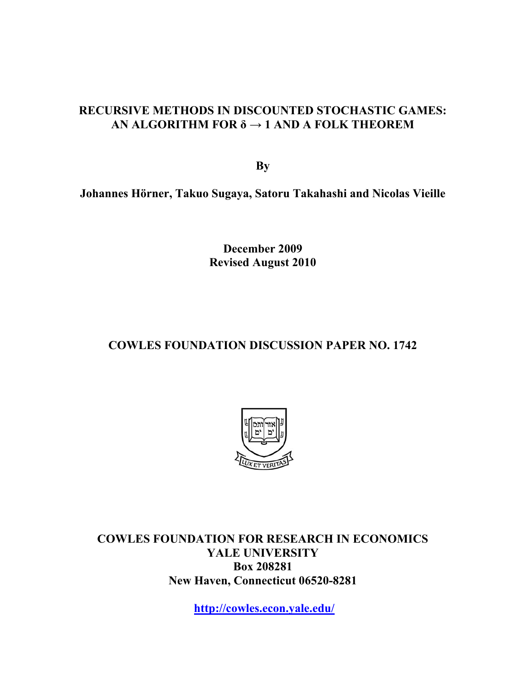# **RECURSIVE METHODS IN DISCOUNTED STOCHASTIC GAMES: AN ALGORITHM FOR**  $\delta \rightarrow 1$  **AND A FOLK THEOREM**

**By** 

**Johannes Hörner, Takuo Sugaya, Satoru Takahashi and Nicolas Vieille** 

**December 2009 Revised August 2010** 

# **COWLES FOUNDATION DISCUSSION PAPER NO. 1742**



**COWLES FOUNDATION FOR RESEARCH IN ECONOMICS YALE UNIVERSITY Box 208281 New Haven, Connecticut 06520-8281** 

**http://cowles.econ.yale.edu/**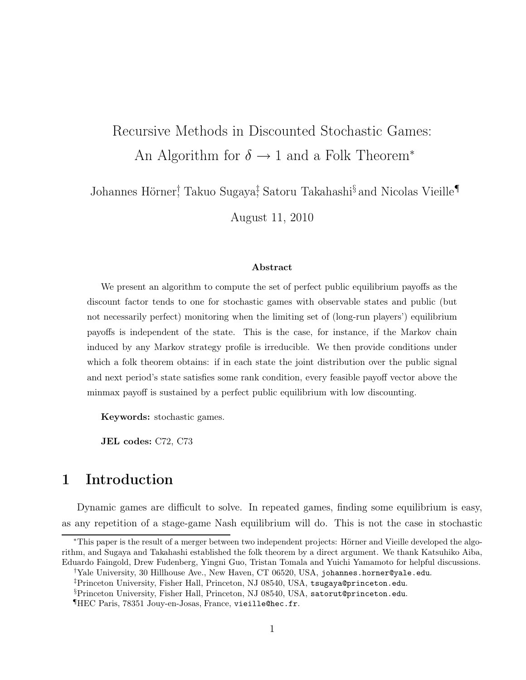# Recursive Methods in Discounted Stochastic Games: An Algorithm for  $\delta \rightarrow 1$  and a Folk Theorem<sup>\*</sup>

Johannes Hörner† , Takuo Sugaya‡ , Satoru Takahashi§ and Nicolas Vieille¶

August 11, 2010

#### Abstract

We present an algorithm to compute the set of perfect public equilibrium payoffs as the discount factor tends to one for stochastic games with observable states and public (but not necessarily perfect) monitoring when the limiting set of (long-run players') equilibrium payoffs is independent of the state. This is the case, for instance, if the Markov chain induced by any Markov strategy profile is irreducible. We then provide conditions under which a folk theorem obtains: if in each state the joint distribution over the public signal and next period's state satisfies some rank condition, every feasible payoff vector above the minmax payoff is sustained by a perfect public equilibrium with low discounting.

Keywords: stochastic games.

JEL codes: C72, C73

# 1 Introduction

Dynamic games are difficult to solve. In repeated games, finding some equilibrium is easy, as any repetition of a stage-game Nash equilibrium will do. This is not the case in stochastic

<sup>∗</sup>This paper is the result of a merger between two independent projects: Hörner and Vieille developed the algorithm, and Sugaya and Takahashi established the folk theorem by a direct argument. We thank Katsuhiko Aiba, Eduardo Faingold, Drew Fudenberg, Yingni Guo, Tristan Tomala and Yuichi Yamamoto for helpful discussions.

<sup>&</sup>lt;sup>†</sup>Yale University, 30 Hillhouse Ave., New Haven, CT 06520, USA, johannes.horner@yale.edu.

<sup>‡</sup>Princeton University, Fisher Hall, Princeton, NJ 08540, USA, tsugaya@princeton.edu.

<sup>§</sup>Princeton University, Fisher Hall, Princeton, NJ 08540, USA, satorut@princeton.edu.

<sup>¶</sup>HEC Paris, 78351 Jouy-en-Josas, France, vieille@hec.fr.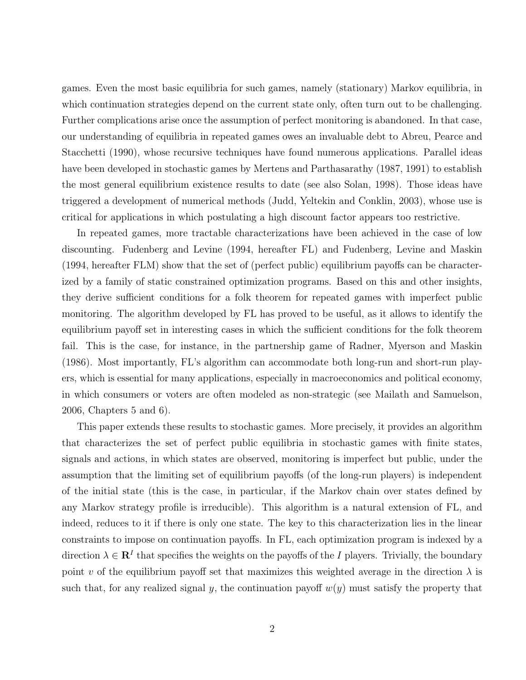games. Even the most basic equilibria for such games, namely (stationary) Markov equilibria, in which continuation strategies depend on the current state only, often turn out to be challenging. Further complications arise once the assumption of perfect monitoring is abandoned. In that case, our understanding of equilibria in repeated games owes an invaluable debt to Abreu, Pearce and Stacchetti (1990), whose recursive techniques have found numerous applications. Parallel ideas have been developed in stochastic games by Mertens and Parthasarathy (1987, 1991) to establish the most general equilibrium existence results to date (see also Solan, 1998). Those ideas have triggered a development of numerical methods (Judd, Yeltekin and Conklin, 2003), whose use is critical for applications in which postulating a high discount factor appears too restrictive.

In repeated games, more tractable characterizations have been achieved in the case of low discounting. Fudenberg and Levine (1994, hereafter FL) and Fudenberg, Levine and Maskin (1994, hereafter FLM) show that the set of (perfect public) equilibrium payoffs can be characterized by a family of static constrained optimization programs. Based on this and other insights, they derive sufficient conditions for a folk theorem for repeated games with imperfect public monitoring. The algorithm developed by FL has proved to be useful, as it allows to identify the equilibrium payoff set in interesting cases in which the sufficient conditions for the folk theorem fail. This is the case, for instance, in the partnership game of Radner, Myerson and Maskin (1986). Most importantly, FL's algorithm can accommodate both long-run and short-run players, which is essential for many applications, especially in macroeconomics and political economy, in which consumers or voters are often modeled as non-strategic (see Mailath and Samuelson, 2006, Chapters 5 and 6).

This paper extends these results to stochastic games. More precisely, it provides an algorithm that characterizes the set of perfect public equilibria in stochastic games with finite states, signals and actions, in which states are observed, monitoring is imperfect but public, under the assumption that the limiting set of equilibrium payoffs (of the long-run players) is independent of the initial state (this is the case, in particular, if the Markov chain over states defined by any Markov strategy profile is irreducible). This algorithm is a natural extension of FL, and indeed, reduces to it if there is only one state. The key to this characterization lies in the linear constraints to impose on continuation payoffs. In FL, each optimization program is indexed by a direction  $\lambda \in \mathbb{R}^I$  that specifies the weights on the payoffs of the I players. Trivially, the boundary point v of the equilibrium payoff set that maximizes this weighted average in the direction  $\lambda$  is such that, for any realized signal y, the continuation payoff  $w(y)$  must satisfy the property that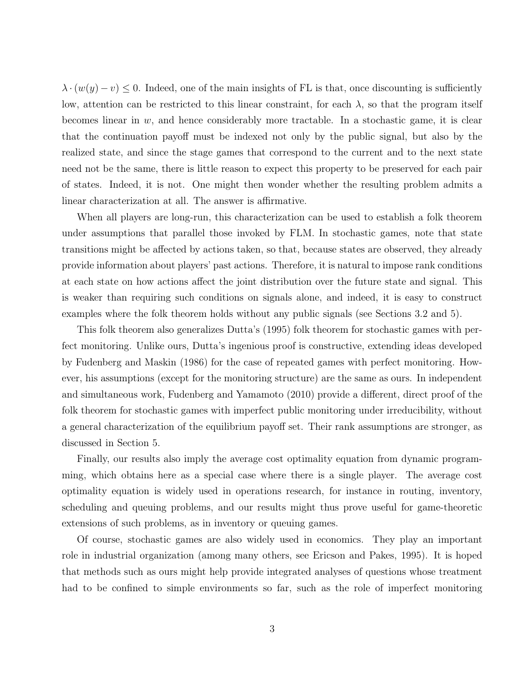$\lambda \cdot (w(y) - v) \leq 0$ . Indeed, one of the main insights of FL is that, once discounting is sufficiently low, attention can be restricted to this linear constraint, for each  $\lambda$ , so that the program itself becomes linear in  $w$ , and hence considerably more tractable. In a stochastic game, it is clear that the continuation payoff must be indexed not only by the public signal, but also by the realized state, and since the stage games that correspond to the current and to the next state need not be the same, there is little reason to expect this property to be preserved for each pair of states. Indeed, it is not. One might then wonder whether the resulting problem admits a linear characterization at all. The answer is affirmative.

When all players are long-run, this characterization can be used to establish a folk theorem under assumptions that parallel those invoked by FLM. In stochastic games, note that state transitions might be affected by actions taken, so that, because states are observed, they already provide information about players' past actions. Therefore, it is natural to impose rank conditions at each state on how actions affect the joint distribution over the future state and signal. This is weaker than requiring such conditions on signals alone, and indeed, it is easy to construct examples where the folk theorem holds without any public signals (see Sections 3.2 and 5).

This folk theorem also generalizes Dutta's (1995) folk theorem for stochastic games with perfect monitoring. Unlike ours, Dutta's ingenious proof is constructive, extending ideas developed by Fudenberg and Maskin (1986) for the case of repeated games with perfect monitoring. However, his assumptions (except for the monitoring structure) are the same as ours. In independent and simultaneous work, Fudenberg and Yamamoto (2010) provide a different, direct proof of the folk theorem for stochastic games with imperfect public monitoring under irreducibility, without a general characterization of the equilibrium payoff set. Their rank assumptions are stronger, as discussed in Section 5.

Finally, our results also imply the average cost optimality equation from dynamic programming, which obtains here as a special case where there is a single player. The average cost optimality equation is widely used in operations research, for instance in routing, inventory, scheduling and queuing problems, and our results might thus prove useful for game-theoretic extensions of such problems, as in inventory or queuing games.

Of course, stochastic games are also widely used in economics. They play an important role in industrial organization (among many others, see Ericson and Pakes, 1995). It is hoped that methods such as ours might help provide integrated analyses of questions whose treatment had to be confined to simple environments so far, such as the role of imperfect monitoring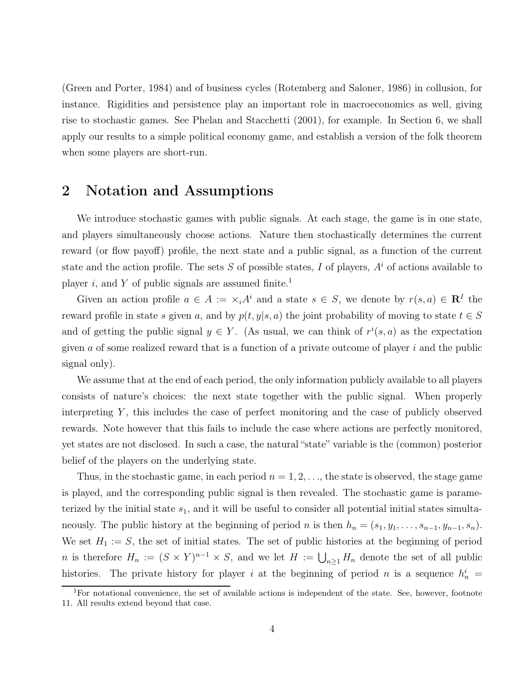(Green and Porter, 1984) and of business cycles (Rotemberg and Saloner, 1986) in collusion, for instance. Rigidities and persistence play an important role in macroeconomics as well, giving rise to stochastic games. See Phelan and Stacchetti (2001), for example. In Section 6, we shall apply our results to a simple political economy game, and establish a version of the folk theorem when some players are short-run.

# 2 Notation and Assumptions

We introduce stochastic games with public signals. At each stage, the game is in one state, and players simultaneously choose actions. Nature then stochastically determines the current reward (or flow payoff) profile, the next state and a public signal, as a function of the current state and the action profile. The sets S of possible states, I of players,  $A^i$  of actions available to player i, and Y of public signals are assumed finite.<sup>1</sup>

Given an action profile  $a \in A := \times_i A^i$  and a state  $s \in S$ , we denote by  $r(s, a) \in \mathbb{R}^I$  the reward profile in state s given a, and by  $p(t, y|s, a)$  the joint probability of moving to state  $t \in S$ and of getting the public signal  $y \in Y$ . (As usual, we can think of  $r^i(s, a)$  as the expectation given a of some realized reward that is a function of a private outcome of player  $i$  and the public signal only).

We assume that at the end of each period, the only information publicly available to all players consists of nature's choices: the next state together with the public signal. When properly interpreting  $Y$ , this includes the case of perfect monitoring and the case of publicly observed rewards. Note however that this fails to include the case where actions are perfectly monitored, yet states are not disclosed. In such a case, the natural "state" variable is the (common) posterior belief of the players on the underlying state.

Thus, in the stochastic game, in each period  $n = 1, 2, \ldots$ , the state is observed, the stage game is played, and the corresponding public signal is then revealed. The stochastic game is parameterized by the initial state  $s_1$ , and it will be useful to consider all potential initial states simultaneously. The public history at the beginning of period n is then  $h_n = (s_1, y_1, \ldots, s_{n-1}, y_{n-1}, s_n)$ . We set  $H_1 := S$ , the set of initial states. The set of public histories at the beginning of period n is therefore  $H_n := (S \times Y)^{n-1} \times S$ , and we let  $H := \bigcup_{n \geq 1} H_n$  denote the set of all public histories. The private history for player i at the beginning of period n is a sequence  $h_n^i =$ 

<sup>1</sup>For notational convenience, the set of available actions is independent of the state. See, however, footnote 11. All results extend beyond that case.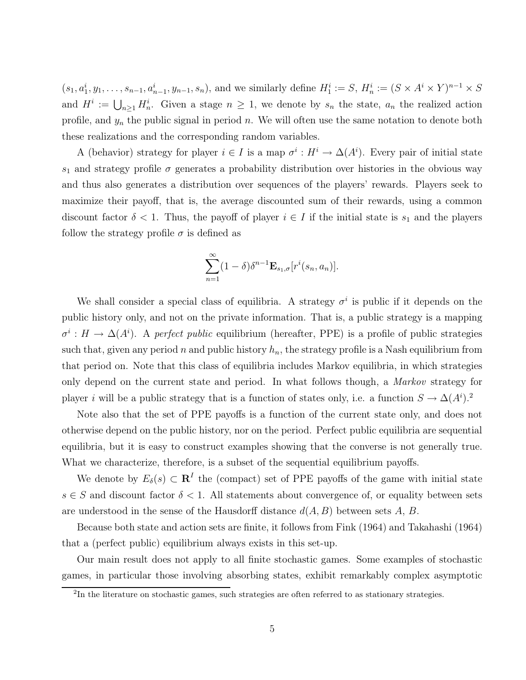$(s_1, a_1^i, y_1, \ldots, s_{n-1}, a_{n-1}^i, y_{n-1}, s_n)$ , and we similarly define  $H_1^i := S$ ,  $H_n^i := (S \times A^i \times Y)^{n-1} \times S$ and  $H^i := \bigcup_{n \geq 1} H_n^i$ . Given a stage  $n \geq 1$ , we denote by  $s_n$  the state,  $a_n$  the realized action profile, and  $y_n$  the public signal in period n. We will often use the same notation to denote both these realizations and the corresponding random variables.

A (behavior) strategy for player  $i \in I$  is a map  $\sigma^i : H^i \to \Delta(A^i)$ . Every pair of initial state  $s_1$  and strategy profile  $\sigma$  generates a probability distribution over histories in the obvious way and thus also generates a distribution over sequences of the players' rewards. Players seek to maximize their payoff, that is, the average discounted sum of their rewards, using a common discount factor  $\delta < 1$ . Thus, the payoff of player  $i \in I$  if the initial state is  $s_1$  and the players follow the strategy profile  $\sigma$  is defined as

$$
\sum_{n=1}^{\infty} (1-\delta)\delta^{n-1} \mathbf{E}_{s_1,\sigma}[r^i(s_n,a_n)].
$$

We shall consider a special class of equilibria. A strategy  $\sigma^i$  is public if it depends on the public history only, and not on the private information. That is, a public strategy is a mapping  $\sigma^i: H \to \Delta(A^i)$ . A perfect public equilibrium (hereafter, PPE) is a profile of public strategies such that, given any period n and public history  $h_n$ , the strategy profile is a Nash equilibrium from that period on. Note that this class of equilibria includes Markov equilibria, in which strategies only depend on the current state and period. In what follows though, a Markov strategy for player i will be a public strategy that is a function of states only, i.e. a function  $S \to \Delta(A^i)$ .

Note also that the set of PPE payoffs is a function of the current state only, and does not otherwise depend on the public history, nor on the period. Perfect public equilibria are sequential equilibria, but it is easy to construct examples showing that the converse is not generally true. What we characterize, therefore, is a subset of the sequential equilibrium payoffs.

We denote by  $E_{\delta}(s) \subset \mathbf{R}^{I}$  the (compact) set of PPE payoffs of the game with initial state  $s \in S$  and discount factor  $\delta < 1$ . All statements about convergence of, or equality between sets are understood in the sense of the Hausdorff distance  $d(A, B)$  between sets A, B.

Because both state and action sets are finite, it follows from Fink (1964) and Takahashi (1964) that a (perfect public) equilibrium always exists in this set-up.

Our main result does not apply to all finite stochastic games. Some examples of stochastic games, in particular those involving absorbing states, exhibit remarkably complex asymptotic

<sup>&</sup>lt;sup>2</sup>In the literature on stochastic games, such strategies are often referred to as stationary strategies.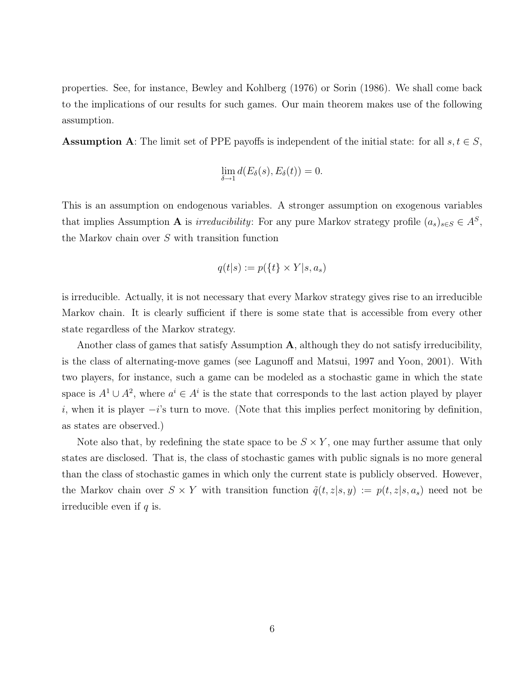properties. See, for instance, Bewley and Kohlberg (1976) or Sorin (1986). We shall come back to the implications of our results for such games. Our main theorem makes use of the following assumption.

**Assumption A:** The limit set of PPE payoffs is independent of the initial state: for all  $s, t \in S$ ,

$$
\lim_{\delta \to 1} d(E_{\delta}(s), E_{\delta}(t)) = 0.
$$

This is an assumption on endogenous variables. A stronger assumption on exogenous variables that implies Assumption **A** is *irreducibility*: For any pure Markov strategy profile  $(a_s)_{s \in S} \in A^S$ , the Markov chain over S with transition function

$$
q(t|s) := p(\{t\} \times Y|s, a_s)
$$

is irreducible. Actually, it is not necessary that every Markov strategy gives rise to an irreducible Markov chain. It is clearly sufficient if there is some state that is accessible from every other state regardless of the Markov strategy.

Another class of games that satisfy Assumption  $A$ , although they do not satisfy irreducibility, is the class of alternating-move games (see Lagunoff and Matsui, 1997 and Yoon, 2001). With two players, for instance, such a game can be modeled as a stochastic game in which the state space is  $A^1 \cup A^2$ , where  $a^i \in A^i$  is the state that corresponds to the last action played by player i, when it is player  $-i$ 's turn to move. (Note that this implies perfect monitoring by definition, as states are observed.)

Note also that, by redefining the state space to be  $S \times Y$ , one may further assume that only states are disclosed. That is, the class of stochastic games with public signals is no more general than the class of stochastic games in which only the current state is publicly observed. However, the Markov chain over  $S \times Y$  with transition function  $\tilde{q}(t, z|s, y) := p(t, z|s, a_s)$  need not be irreducible even if  $q$  is.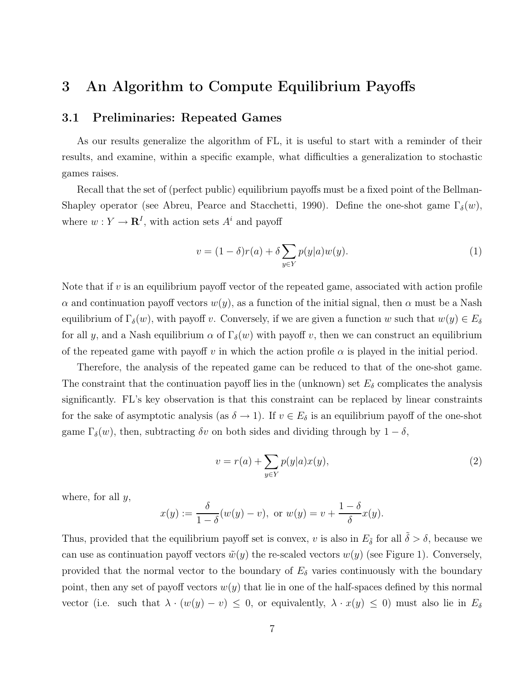# 3 An Algorithm to Compute Equilibrium Payoffs

#### 3.1 Preliminaries: Repeated Games

As our results generalize the algorithm of FL, it is useful to start with a reminder of their results, and examine, within a specific example, what difficulties a generalization to stochastic games raises.

Recall that the set of (perfect public) equilibrium payoffs must be a fixed point of the Bellman-Shapley operator (see Abreu, Pearce and Stacchetti, 1990). Define the one-shot game  $\Gamma_{\delta}(w)$ , where  $w: Y \to \mathbf{R}^I$ , with action sets  $A^i$  and payoff

$$
v = (1 - \delta)r(a) + \delta \sum_{y \in Y} p(y|a)w(y).
$$
\n(1)

Note that if  $v$  is an equilibrium payoff vector of the repeated game, associated with action profile α and continuation payoff vectors  $w(y)$ , as a function of the initial signal, then α must be a Nash equilibrium of  $\Gamma_{\delta}(w)$ , with payoff v. Conversely, if we are given a function w such that  $w(y) \in E_{\delta}$ for all y, and a Nash equilibrium  $\alpha$  of  $\Gamma_{\delta}(w)$  with payoff v, then we can construct an equilibrium of the repeated game with payoff v in which the action profile  $\alpha$  is played in the initial period.

Therefore, the analysis of the repeated game can be reduced to that of the one-shot game. The constraint that the continuation payoff lies in the (unknown) set  $E_{\delta}$  complicates the analysis significantly. FL's key observation is that this constraint can be replaced by linear constraints for the sake of asymptotic analysis (as  $\delta \to 1$ ). If  $v \in E_{\delta}$  is an equilibrium payoff of the one-shot game  $\Gamma_{\delta}(w)$ , then, subtracting  $\delta v$  on both sides and dividing through by  $1 - \delta$ ,

$$
v = r(a) + \sum_{y \in Y} p(y|a)x(y), \qquad (2)
$$

where, for all  $y$ ,

$$
x(y) := \frac{\delta}{1-\delta}(w(y)-v), \text{ or } w(y) = v + \frac{1-\delta}{\delta}x(y).
$$

Thus, provided that the equilibrium payoff set is convex, v is also in  $E_{\tilde{\delta}}$  for all  $\tilde{\delta} > \delta$ , because we can use as continuation payoff vectors  $\tilde{w}(y)$  the re-scaled vectors  $w(y)$  (see Figure 1). Conversely, provided that the normal vector to the boundary of  $E_{\delta}$  varies continuously with the boundary point, then any set of payoff vectors  $w(y)$  that lie in one of the half-spaces defined by this normal vector (i.e. such that  $\lambda \cdot (w(y) - v) \leq 0$ , or equivalently,  $\lambda \cdot x(y) \leq 0$ ) must also lie in  $E_{\delta}$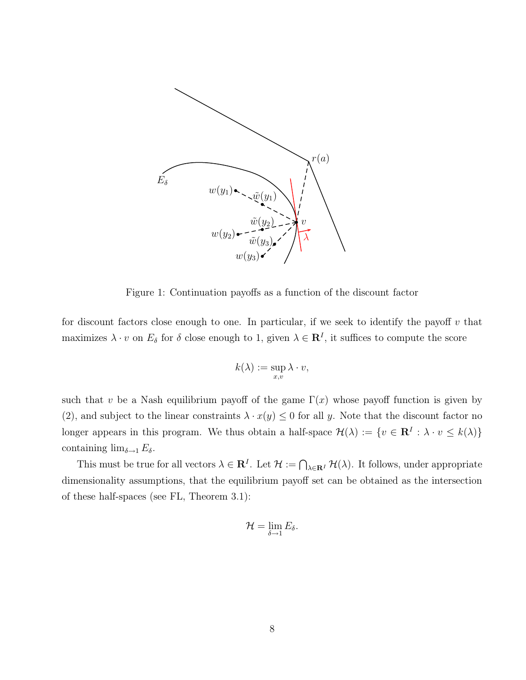

Figure 1: Continuation payoffs as a function of the discount factor

for discount factors close enough to one. In particular, if we seek to identify the payoff  $v$  that maximizes  $\lambda \cdot v$  on  $E_{\delta}$  for  $\delta$  close enough to 1, given  $\lambda \in \mathbb{R}^{I}$ , it suffices to compute the score

$$
k(\lambda) := \sup_{x,v} \lambda \cdot v,
$$

such that v be a Nash equilibrium payoff of the game  $\Gamma(x)$  whose payoff function is given by (2), and subject to the linear constraints  $\lambda \cdot x(y) \leq 0$  for all y. Note that the discount factor no longer appears in this program. We thus obtain a half-space  $\mathcal{H}(\lambda) := \{v \in \mathbb{R}^I : \lambda \cdot v \leq k(\lambda)\}\$ containing  $\lim_{\delta \to 1} E_{\delta}$ .

This must be true for all vectors  $\lambda \in \mathbf{R}^I$ . Let  $\mathcal{H} := \bigcap_{\lambda \in \mathbf{R}^I} \mathcal{H}(\lambda)$ . It follows, under appropriate dimensionality assumptions, that the equilibrium payoff set can be obtained as the intersection of these half-spaces (see FL, Theorem 3.1):

$$
\mathcal{H}=\lim_{\delta\to 1}E_\delta.
$$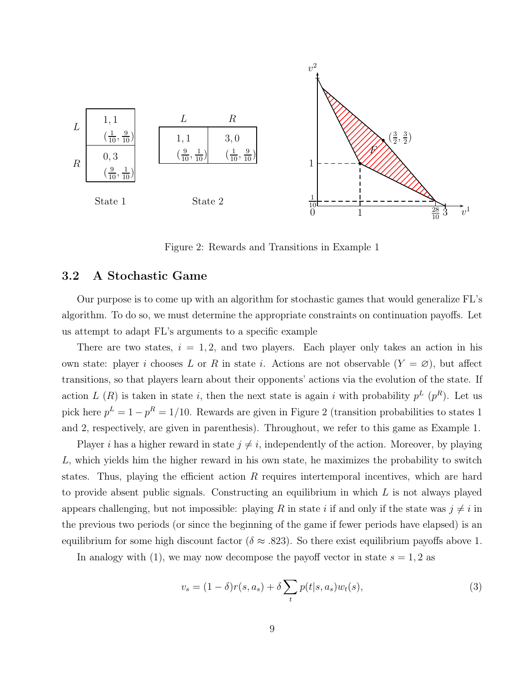

Figure 2: Rewards and Transitions in Example 1

### 3.2 A Stochastic Game

Our purpose is to come up with an algorithm for stochastic games that would generalize FL's algorithm. To do so, we must determine the appropriate constraints on continuation payoffs. Let us attempt to adapt FL's arguments to a specific example

There are two states,  $i = 1, 2$ , and two players. Each player only takes an action in his own state: player i chooses L or R in state i. Actions are not observable  $(Y = \emptyset)$ , but affect transitions, so that players learn about their opponents' actions via the evolution of the state. If action L (R) is taken in state i, then the next state is again i with probability  $p<sup>L</sup>$  ( $p<sup>R</sup>$ ). Let us pick here  $p^L = 1 - p^R = 1/10$ . Rewards are given in Figure 2 (transition probabilities to states 1) and 2, respectively, are given in parenthesis). Throughout, we refer to this game as Example 1.

Player *i* has a higher reward in state  $j \neq i$ , independently of the action. Moreover, by playing L, which yields him the higher reward in his own state, he maximizes the probability to switch states. Thus, playing the efficient action  $R$  requires intertemporal incentives, which are hard to provide absent public signals. Constructing an equilibrium in which  $L$  is not always played appears challenging, but not impossible: playing R in state i if and only if the state was  $j \neq i$  in the previous two periods (or since the beginning of the game if fewer periods have elapsed) is an equilibrium for some high discount factor ( $\delta \approx .823$ ). So there exist equilibrium payoffs above 1.

In analogy with (1), we may now decompose the payoff vector in state  $s = 1, 2$  as

$$
v_s = (1 - \delta)r(s, a_s) + \delta \sum_t p(t|s, a_s)w_t(s), \qquad (3)
$$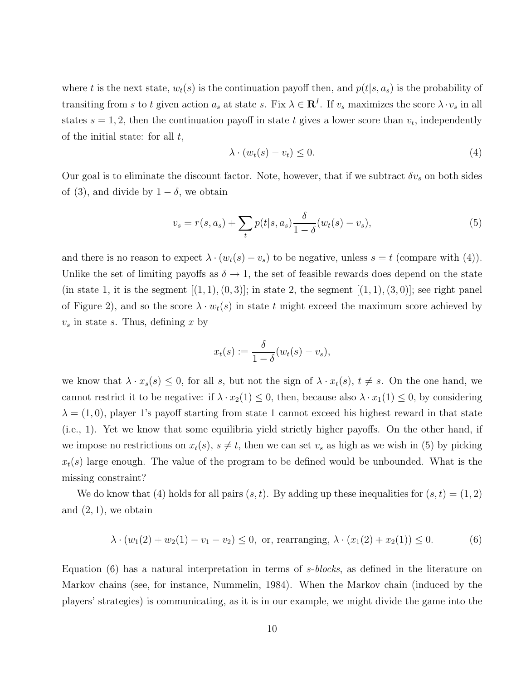where t is the next state,  $w_t(s)$  is the continuation payoff then, and  $p(t|s, a_s)$  is the probability of transiting from s to t given action  $a_s$  at state s. Fix  $\lambda \in \mathbb{R}^I$ . If  $v_s$  maximizes the score  $\lambda \cdot v_s$  in all states  $s = 1, 2$ , then the continuation payoff in state t gives a lower score than  $v_t$ , independently of the initial state: for all  $t$ ,

$$
\lambda \cdot (w_t(s) - v_t) \le 0. \tag{4}
$$

Our goal is to eliminate the discount factor. Note, however, that if we subtract  $\delta v_s$  on both sides of (3), and divide by  $1 - \delta$ , we obtain

$$
v_s = r(s, a_s) + \sum_t p(t|s, a_s) \frac{\delta}{1 - \delta} (w_t(s) - v_s), \tag{5}
$$

and there is no reason to expect  $\lambda \cdot (w_t(s) - v_s)$  to be negative, unless  $s = t$  (compare with (4)). Unlike the set of limiting payoffs as  $\delta \to 1$ , the set of feasible rewards does depend on the state (in state 1, it is the segment  $[(1,1),(0,3)]$ ; in state 2, the segment  $[(1,1),(3,0)]$ ; see right panel of Figure 2), and so the score  $\lambda \cdot w_t(s)$  in state t might exceed the maximum score achieved by  $v_s$  in state s. Thus, defining x by

$$
x_t(s) := \frac{\delta}{1-\delta}(w_t(s)-v_s),
$$

we know that  $\lambda \cdot x_s(s) \leq 0$ , for all s, but not the sign of  $\lambda \cdot x_t(s)$ ,  $t \neq s$ . On the one hand, we cannot restrict it to be negative: if  $\lambda \cdot x_2(1) \leq 0$ , then, because also  $\lambda \cdot x_1(1) \leq 0$ , by considering  $\lambda = (1, 0)$ , player 1's payoff starting from state 1 cannot exceed his highest reward in that state (i.e., 1). Yet we know that some equilibria yield strictly higher payoffs. On the other hand, if we impose no restrictions on  $x_t(s)$ ,  $s \neq t$ , then we can set  $v_s$  as high as we wish in (5) by picking  $x_t(s)$  large enough. The value of the program to be defined would be unbounded. What is the missing constraint?

We do know that (4) holds for all pairs  $(s, t)$ . By adding up these inequalities for  $(s, t) = (1, 2)$ and  $(2, 1)$ , we obtain

$$
\lambda \cdot (w_1(2) + w_2(1) - v_1 - v_2) \le 0, \text{ or, rearranging, } \lambda \cdot (x_1(2) + x_2(1)) \le 0.
$$
 (6)

Equation (6) has a natural interpretation in terms of s-blocks, as defined in the literature on Markov chains (see, for instance, Nummelin, 1984). When the Markov chain (induced by the players' strategies) is communicating, as it is in our example, we might divide the game into the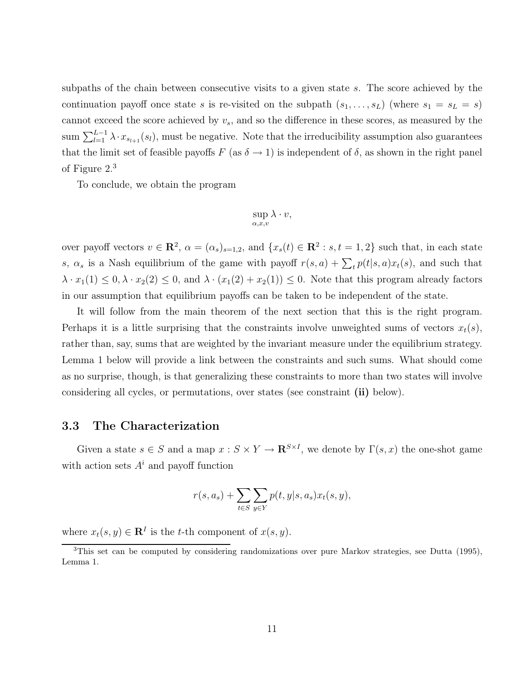subpaths of the chain between consecutive visits to a given state s. The score achieved by the continuation payoff once state s is re-visited on the subpath  $(s_1, \ldots, s_L)$  (where  $s_1 = s_L = s$ ) cannot exceed the score achieved by  $v_s$ , and so the difference in these scores, as measured by the sum  $\sum_{l=1}^{L-1} \lambda \cdot x_{s_{l+1}}(s_l)$ , must be negative. Note that the irreducibility assumption also guarantees that the limit set of feasible payoffs  $F$  (as  $\delta \to 1$ ) is independent of  $\delta$ , as shown in the right panel of Figure 2.<sup>3</sup>

To conclude, we obtain the program

$$
\sup_{\alpha,x,v}\lambda\cdot v,
$$

over payoff vectors  $v \in \mathbb{R}^2$ ,  $\alpha = (\alpha_s)_{s=1,2}$ , and  $\{x_s(t) \in \mathbb{R}^2 : s, t = 1,2\}$  such that, in each state s,  $\alpha_s$  is a Nash equilibrium of the game with payoff  $r(s, a) + \sum_t p(t|s, a)x_t(s)$ , and such that  $\lambda \cdot x_1(1) \leq 0, \lambda \cdot x_2(2) \leq 0$ , and  $\lambda \cdot (x_1(2) + x_2(1)) \leq 0$ . Note that this program already factors in our assumption that equilibrium payoffs can be taken to be independent of the state.

It will follow from the main theorem of the next section that this is the right program. Perhaps it is a little surprising that the constraints involve unweighted sums of vectors  $x_t(s)$ , rather than, say, sums that are weighted by the invariant measure under the equilibrium strategy. Lemma 1 below will provide a link between the constraints and such sums. What should come as no surprise, though, is that generalizing these constraints to more than two states will involve considering all cycles, or permutations, over states (see constraint (ii) below).

#### 3.3 The Characterization

Given a state  $s \in S$  and a map  $x : S \times Y \to \mathbb{R}^{S \times I}$ , we denote by  $\Gamma(s, x)$  the one-shot game with action sets  $A^i$  and payoff function

$$
r(s, a_s) + \sum_{t \in S} \sum_{y \in Y} p(t, y | s, a_s) x_t(s, y),
$$

where  $x_t(s, y) \in \mathbb{R}^I$  is the t-th component of  $x(s, y)$ .

<sup>&</sup>lt;sup>3</sup>This set can be computed by considering randomizations over pure Markov strategies, see Dutta (1995), Lemma 1.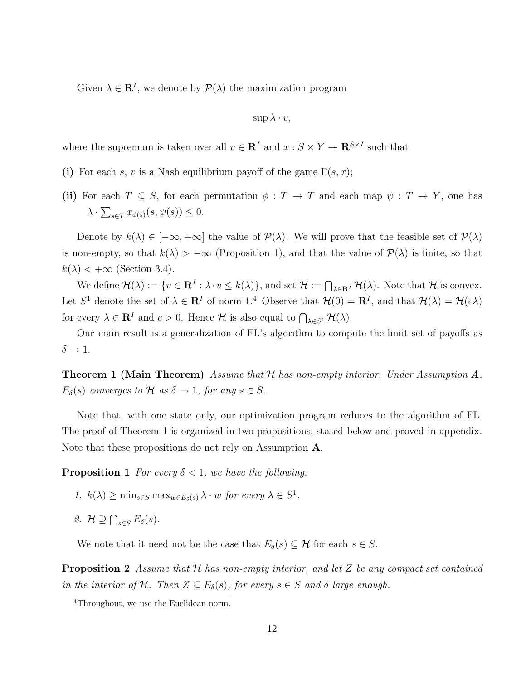Given  $\lambda \in \mathbf{R}^{I}$ , we denote by  $\mathcal{P}(\lambda)$  the maximization program

$$
\sup \lambda \cdot v,
$$

where the supremum is taken over all  $v \in \mathbb{R}^I$  and  $x : S \times Y \to \mathbb{R}^{S \times I}$  such that

- (i) For each s, v is a Nash equilibrium payoff of the game  $\Gamma(s, x)$ ;
- (ii) For each  $T \subseteq S$ , for each permutation  $\phi : T \to T$  and each map  $\psi : T \to Y$ , one has  $\lambda \cdot \sum_{s \in T} x_{\phi(s)}(s, \psi(s)) \leq 0.$

Denote by  $k(\lambda) \in [-\infty, +\infty]$  the value of  $\mathcal{P}(\lambda)$ . We will prove that the feasible set of  $\mathcal{P}(\lambda)$ is non-empty, so that  $k(\lambda) > -\infty$  (Proposition 1), and that the value of  $\mathcal{P}(\lambda)$  is finite, so that  $k(\lambda) < +\infty$  (Section 3.4).

We define  $\mathcal{H}(\lambda) := \{v \in \mathbf{R}^I : \lambda \cdot v \leq k(\lambda)\}\$ , and set  $\mathcal{H} := \bigcap_{\lambda \in \mathbf{R}^I} \mathcal{H}(\lambda)$ . Note that  $\mathcal{H}$  is convex. Let  $S^1$  denote the set of  $\lambda \in \mathbf{R}^I$  of norm 1.<sup>4</sup> Observe that  $\mathcal{H}(0) = \mathbf{R}^I$ , and that  $\mathcal{H}(\lambda) = \mathcal{H}(c\lambda)$ for every  $\lambda \in \mathbf{R}^I$  and  $c > 0$ . Hence  $\mathcal H$  is also equal to  $\bigcap_{\lambda \in S^1} \mathcal H(\lambda)$ .

Our main result is a generalization of FL's algorithm to compute the limit set of payoffs as  $\delta \rightarrow 1.$ 

**Theorem 1 (Main Theorem)** Assume that  $H$  has non-empty interior. Under Assumption  $A$ ,  $E_{\delta}(s)$  converges to  $\mathcal H$  as  $\delta \to 1$ , for any  $s \in S$ .

Note that, with one state only, our optimization program reduces to the algorithm of FL. The proof of Theorem 1 is organized in two propositions, stated below and proved in appendix. Note that these propositions do not rely on Assumption A.

**Proposition 1** For every  $\delta < 1$ , we have the following.

- 1.  $k(\lambda) \ge \min_{s \in S} \max_{w \in E_{\delta}(s)} \lambda \cdot w$  for every  $\lambda \in S^1$ .
- 2.  $\mathcal{H} \supseteq \bigcap_{s\in S} E_{\delta}(s)$ .

We note that it need not be the case that  $E_{\delta}(s) \subseteq \mathcal{H}$  for each  $s \in S$ .

**Proposition 2** Assume that  $H$  has non-empty interior, and let  $Z$  be any compact set contained in the interior of H. Then  $Z \subseteq E_{\delta}(s)$ , for every  $s \in S$  and  $\delta$  large enough.

<sup>4</sup>Throughout, we use the Euclidean norm.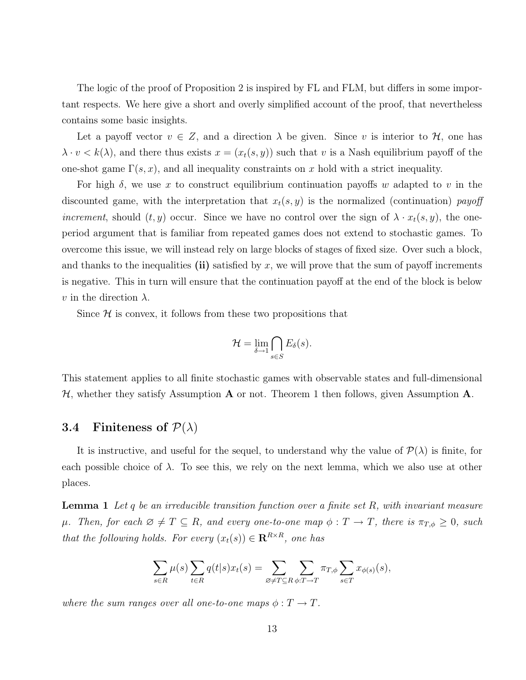The logic of the proof of Proposition 2 is inspired by FL and FLM, but differs in some important respects. We here give a short and overly simplified account of the proof, that nevertheless contains some basic insights.

Let a payoff vector  $v \in Z$ , and a direction  $\lambda$  be given. Since v is interior to  $\mathcal{H}$ , one has  $\lambda \cdot v < k(\lambda)$ , and there thus exists  $x = (x_t(s, y))$  such that v is a Nash equilibrium payoff of the one-shot game  $\Gamma(s, x)$ , and all inequality constraints on x hold with a strict inequality.

For high  $\delta$ , we use x to construct equilibrium continuation payoffs w adapted to v in the discounted game, with the interpretation that  $x_t(s, y)$  is the normalized (continuation) payoff *increment*, should  $(t, y)$  occur. Since we have no control over the sign of  $\lambda \cdot x_t(s, y)$ , the oneperiod argument that is familiar from repeated games does not extend to stochastic games. To overcome this issue, we will instead rely on large blocks of stages of fixed size. Over such a block, and thanks to the inequalities (ii) satisfied by x, we will prove that the sum of payoff increments is negative. This in turn will ensure that the continuation payoff at the end of the block is below  $v$  in the direction  $\lambda$ .

Since  $\mathcal H$  is convex, it follows from these two propositions that

$$
\mathcal{H} = \lim_{\delta \to 1} \bigcap_{s \in S} E_{\delta}(s).
$$

This statement applies to all finite stochastic games with observable states and full-dimensional  $\mathcal{H}$ , whether they satisfy Assumption **A** or not. Theorem 1 then follows, given Assumption **A**.

### 3.4 Finiteness of  $\mathcal{P}(\lambda)$

It is instructive, and useful for the sequel, to understand why the value of  $\mathcal{P}(\lambda)$  is finite, for each possible choice of  $\lambda$ . To see this, we rely on the next lemma, which we also use at other places.

**Lemma 1** Let q be an irreducible transition function over a finite set R, with invariant measure  $\mu$ . Then, for each  $\emptyset \neq T \subseteq R$ , and every one-to-one map  $\phi : T \to T$ , there is  $\pi_{T,\phi} \geq 0$ , such that the following holds. For every  $(x_t(s)) \in \mathbb{R}^{R \times R}$ , one has

$$
\sum_{s \in R} \mu(s) \sum_{t \in R} q(t|s) x_t(s) = \sum_{\varnothing \neq T \subseteq R} \sum_{\phi: T \to T} \pi_{T, \phi} \sum_{s \in T} x_{\phi(s)}(s),
$$

where the sum ranges over all one-to-one maps  $\phi: T \to T$ .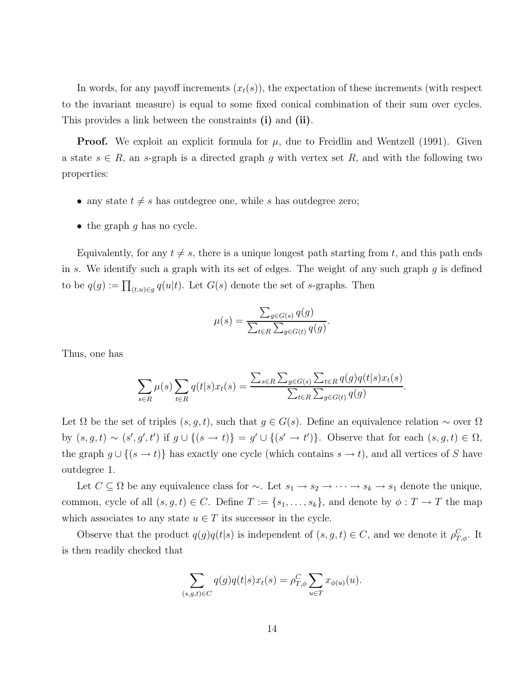In words, for any payoff increments  $(x<sub>t</sub>(s))$ , the expectation of these increments (with respect to the invariant measure) is equal to some fixed conical combination of their sum over cycles. This provides a link between the constraints (i) and (ii).

**Proof.** We exploit an explicit formula for  $\mu$ , due to Freidlin and Wentzell (1991). Given a state  $s \in R$ , an s-graph is a directed graph g with vertex set R, and with the following two properties:

- any state  $t \neq s$  has outdegree one, while s has outdegree zero;
- the graph  $g$  has no cycle.

Equivalently, for any  $t \neq s$ , there is a unique longest path starting from t, and this path ends in s. We identify such a graph with its set of edges. The weight of any such graph  $g$  is defined to be  $q(g) := \prod_{(t,u) \in g} q(u|t)$ . Let  $G(s)$  denote the set of s-graphs. Then

$$
\mu(s) = \frac{\sum_{g \in G(s)} q(g)}{\sum_{t \in R} \sum_{g \in G(t)} q(g)}.
$$

Thus, one has

$$
\sum_{s \in R} \mu(s) \sum_{t \in R} q(t|s) x_t(s) = \frac{\sum_{s \in R} \sum_{g \in G(s)} \sum_{t \in R} q(g) q(t|s) x_t(s)}{\sum_{t \in R} \sum_{g \in G(t)} q(g)}.
$$

Let  $\Omega$  be the set of triples  $(s, g, t)$ , such that  $g \in G(s)$ . Define an equivalence relation  $\sim$  over  $\Omega$ by  $(s, g, t) \sim (s', g', t')$  if  $g \cup \{(s \to t)\} = g' \cup \{(s' \to t')\}$ . Observe that for each  $(s, g, t) \in \Omega$ , the graph  $g \cup \{(s \to t)\}\)$  has exactly one cycle (which contains  $s \to t$ ), and all vertices of S have outdegree 1.

Let  $C \subseteq \Omega$  be any equivalence class for  $\sim$ . Let  $s_1 \to s_2 \to \cdots \to s_k \to s_1$  denote the unique, common, cycle of all  $(s, g, t) \in C$ . Define  $T := \{s_1, \ldots, s_k\}$ , and denote by  $\phi : T \to T$  the map which associates to any state  $u \in T$  its successor in the cycle.

Observe that the product  $q(g)q(t|s)$  is independent of  $(s, g, t) \in C$ , and we denote it  $\rho_{T,\phi}^C$ . It is then readily checked that

$$
\sum_{(s,g,t)\in C} q(g)q(t|s)x_t(s) = \rho_{T,\phi}^C \sum_{u\in T} x_{\phi(u)}(u).
$$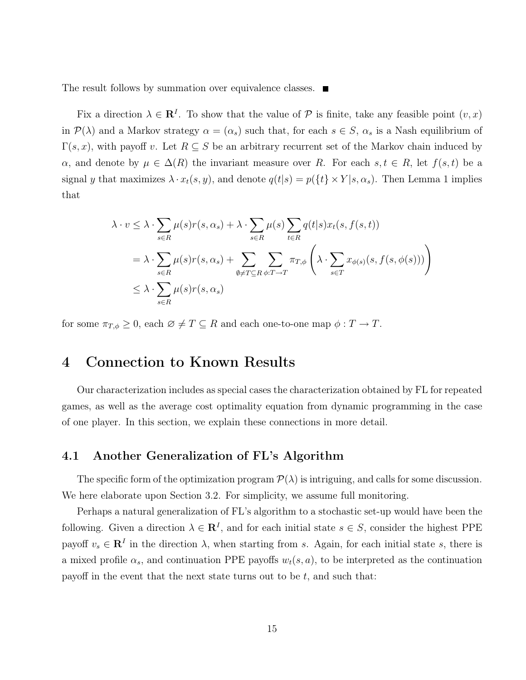The result follows by summation over equivalence classes.  $\blacksquare$ 

Fix a direction  $\lambda \in \mathbb{R}^I$ . To show that the value of P is finite, take any feasible point  $(v, x)$ in  $\mathcal{P}(\lambda)$  and a Markov strategy  $\alpha = (\alpha_s)$  such that, for each  $s \in S$ ,  $\alpha_s$  is a Nash equilibrium of  $\Gamma(s, x)$ , with payoff v. Let  $R \subseteq S$  be an arbitrary recurrent set of the Markov chain induced by  $\alpha$ , and denote by  $\mu \in \Delta(R)$  the invariant measure over R. For each  $s, t \in R$ , let  $f(s,t)$  be a signal y that maximizes  $\lambda \cdot x_t(s, y)$ , and denote  $q(t|s) = p(\lbrace t \rbrace \times Y | s, \alpha_s)$ . Then Lemma 1 implies that

$$
\lambda \cdot v \leq \lambda \cdot \sum_{s \in R} \mu(s)r(s, \alpha_s) + \lambda \cdot \sum_{s \in R} \mu(s) \sum_{t \in R} q(t|s)x_t(s, f(s, t))
$$
  
=  $\lambda \cdot \sum_{s \in R} \mu(s)r(s, \alpha_s) + \sum_{\emptyset \neq T \subseteq R} \sum_{\phi: T \to T} \pi_{T, \phi} \left( \lambda \cdot \sum_{s \in T} x_{\phi(s)}(s, f(s, \phi(s))) \right)$   
 $\leq \lambda \cdot \sum_{s \in R} \mu(s)r(s, \alpha_s)$ 

for some  $\pi_{T,\phi} \geq 0$ , each  $\emptyset \neq T \subseteq R$  and each one-to-one map  $\phi : T \to T$ .

### 4 Connection to Known Results

Our characterization includes as special cases the characterization obtained by FL for repeated games, as well as the average cost optimality equation from dynamic programming in the case of one player. In this section, we explain these connections in more detail.

#### 4.1 Another Generalization of FL's Algorithm

The specific form of the optimization program  $\mathcal{P}(\lambda)$  is intriguing, and calls for some discussion. We here elaborate upon Section 3.2. For simplicity, we assume full monitoring.

Perhaps a natural generalization of FL's algorithm to a stochastic set-up would have been the following. Given a direction  $\lambda \in \mathbb{R}^I$ , and for each initial state  $s \in S$ , consider the highest PPE payoff  $v_s \in \mathbb{R}^I$  in the direction  $\lambda$ , when starting from s. Again, for each initial state s, there is a mixed profile  $\alpha_s$ , and continuation PPE payoffs  $w_t(s, a)$ , to be interpreted as the continuation payoff in the event that the next state turns out to be  $t$ , and such that: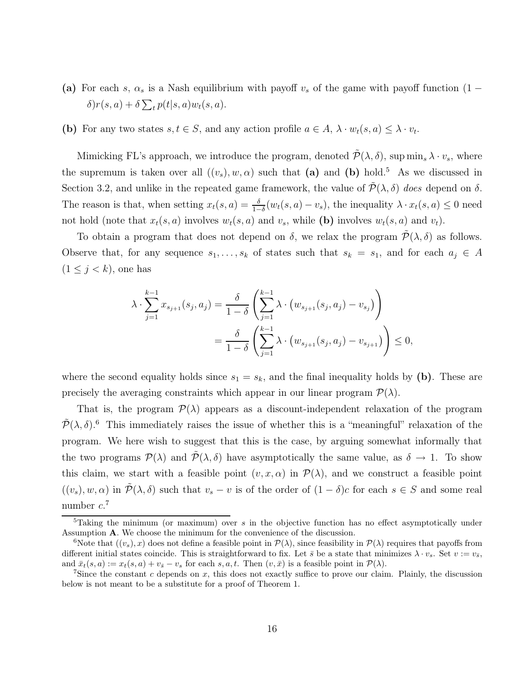- (a) For each s,  $\alpha_s$  is a Nash equilibrium with payoff  $v_s$  of the game with payoff function (1  $\delta$ ) $r(s,a) + \delta \sum_{t} p(t|s,a) w_t(s,a)$ .
- (b) For any two states  $s, t \in S$ , and any action profile  $a \in A$ ,  $\lambda \cdot w_t(s, a) \leq \lambda \cdot v_t$ .

Mimicking FL's approach, we introduce the program, denoted  $\tilde{\mathcal{P}}(\lambda, \delta)$ , sup min<sub>s</sub>  $\lambda \cdot v_s$ , where the supremum is taken over all  $((v_s), w, \alpha)$  such that (a) and (b) hold.<sup>5</sup> As we discussed in Section 3.2, and unlike in the repeated game framework, the value of  $\mathcal{P}(\lambda, \delta)$  does depend on  $\delta$ . The reason is that, when setting  $x_t(s, a) = \frac{\delta}{1-\delta}(w_t(s, a) - v_s)$ , the inequality  $\lambda \cdot x_t(s, a) \leq 0$  need not hold (note that  $x_t(s, a)$  involves  $w_t(s, a)$  and  $v_s$ , while (b) involves  $w_t(s, a)$  and  $v_t$ ).

To obtain a program that does not depend on  $\delta$ , we relax the program  $\mathcal{P}(\lambda, \delta)$  as follows. Observe that, for any sequence  $s_1, \ldots, s_k$  of states such that  $s_k = s_1$ , and for each  $a_j \in A$  $(1 \leq j < k)$ , one has

$$
\lambda \cdot \sum_{j=1}^{k-1} x_{s_{j+1}}(s_j, a_j) = \frac{\delta}{1-\delta} \left( \sum_{j=1}^{k-1} \lambda \cdot (w_{s_{j+1}}(s_j, a_j) - v_{s_j}) \right)
$$
  
= 
$$
\frac{\delta}{1-\delta} \left( \sum_{j=1}^{k-1} \lambda \cdot (w_{s_{j+1}}(s_j, a_j) - v_{s_{j+1}}) \right) \le 0,
$$

where the second equality holds since  $s_1 = s_k$ , and the final inequality holds by (b). These are precisely the averaging constraints which appear in our linear program  $\mathcal{P}(\lambda)$ .

That is, the program  $\mathcal{P}(\lambda)$  appears as a discount-independent relaxation of the program  $\tilde{\mathcal{P}}(\lambda,\delta)$ .<sup>6</sup> This immediately raises the issue of whether this is a "meaningful" relaxation of the program. We here wish to suggest that this is the case, by arguing somewhat informally that the two programs  $\mathcal{P}(\lambda)$  and  $\tilde{\mathcal{P}}(\lambda, \delta)$  have asymptotically the same value, as  $\delta \to 1$ . To show this claim, we start with a feasible point  $(v, x, \alpha)$  in  $\mathcal{P}(\lambda)$ , and we construct a feasible point  $((v_s), w, \alpha)$  in  $\tilde{\mathcal{P}}(\lambda, \delta)$  such that  $v_s - v$  is of the order of  $(1 - \delta)c$  for each  $s \in S$  and some real number  $c$ <sup>7</sup>

 $5$ Taking the minimum (or maximum) over s in the objective function has no effect asymptotically under Assumption A. We choose the minimum for the convenience of the discussion.

<sup>&</sup>lt;sup>6</sup>Note that  $((v_s), x)$  does not define a feasible point in  $\mathcal{P}(\lambda)$ , since feasibility in  $\mathcal{P}(\lambda)$  requires that payoffs from different initial states coincide. This is straightforward to fix. Let  $\bar{s}$  be a state that minimizes  $\lambda \cdot v_s$ . Set  $v := v_{\bar{s}}$ , and  $\bar{x}_t(s, a) := x_t(s, a) + v_{\bar{s}} - v_s$  for each s, a, t. Then  $(v, \bar{x})$  is a feasible point in  $\mathcal{P}(\lambda)$ .

<sup>7</sup>Since the constant c depends on x, this does not exactly suffice to prove our claim. Plainly, the discussion below is not meant to be a substitute for a proof of Theorem 1.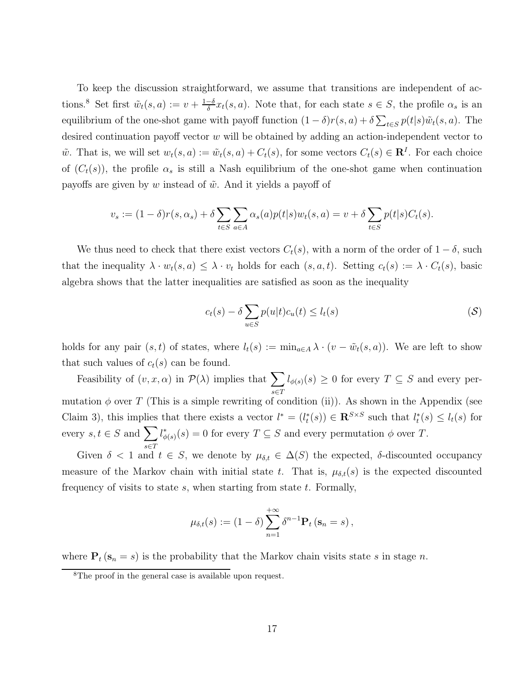To keep the discussion straightforward, we assume that transitions are independent of actions.<sup>8</sup> Set first  $\tilde{w}_t(s,a) := v + \frac{1-\delta}{\delta}$  $\frac{-\delta}{\delta}x_t(s, a)$ . Note that, for each state  $s \in S$ , the profile  $\alpha_s$  is an equilibrium of the one-shot game with payoff function  $(1 - \delta)r(s, a) + \delta \sum_{t \in S} p(t|s) \tilde{w}_t(s, a)$ . The desired continuation payoff vector  $w$  will be obtained by adding an action-independent vector to  $\tilde{w}$ . That is, we will set  $w_t(s, a) := \tilde{w}_t(s, a) + C_t(s)$ , for some vectors  $C_t(s) \in \mathbb{R}^I$ . For each choice of  $(C_t(s))$ , the profile  $\alpha_s$  is still a Nash equilibrium of the one-shot game when continuation payoffs are given by w instead of  $\tilde{w}$ . And it yields a payoff of

$$
v_s := (1 - \delta)r(s, \alpha_s) + \delta \sum_{t \in S} \sum_{a \in A} \alpha_s(a)p(t|s)w_t(s, a) = v + \delta \sum_{t \in S} p(t|s)C_t(s).
$$

We thus need to check that there exist vectors  $C_t(s)$ , with a norm of the order of  $1 - \delta$ , such that the inequality  $\lambda \cdot w_t(s, a) \leq \lambda \cdot v_t$  holds for each  $(s, a, t)$ . Setting  $c_t(s) := \lambda \cdot C_t(s)$ , basic algebra shows that the latter inequalities are satisfied as soon as the inequality

$$
c_t(s) - \delta \sum_{u \in S} p(u|t)c_u(t) \le l_t(s)
$$
 (S)

holds for any pair  $(s, t)$  of states, where  $l_t(s) := \min_{a \in A} \lambda \cdot (v - \tilde{w}_t(s, a))$ . We are left to show that such values of  $c_t(s)$  can be found.

Feasibility of  $(v, x, \alpha)$  in  $\mathcal{P}(\lambda)$  implies that  $\sum$ s∈T  $l_{\phi(s)}(s) \geq 0$  for every  $T \subseteq S$  and every permutation  $\phi$  over T (This is a simple rewriting of condition (ii)). As shown in the Appendix (see Claim 3), this implies that there exists a vector  $l^* = (l_t^*(s)) \in \mathbb{R}^{S \times S}$  such that  $l_t^*(s) \leq l_t(s)$  for every  $s, t \in S$  and  $\sum$ s∈T  $l^*_{\phi}$  $\phi_{\phi(s)}^*(s) = 0$  for every  $T \subseteq S$  and every permutation  $\phi$  over T.

Given  $\delta$  < 1 and  $t \in S$ , we denote by  $\mu_{\delta,t} \in \Delta(S)$  the expected,  $\delta$ -discounted occupancy measure of the Markov chain with initial state t. That is,  $\mu_{\delta,t}(s)$  is the expected discounted frequency of visits to state  $s$ , when starting from state  $t$ . Formally,

$$
\mu_{\delta,t}(s) := (1-\delta) \sum_{n=1}^{+\infty} \delta^{n-1} \mathbf{P}_t (\mathbf{s}_n = s),
$$

where  $P_t$  ( $s_n = s$ ) is the probability that the Markov chain visits state s in stage n.

<sup>&</sup>lt;sup>8</sup>The proof in the general case is available upon request.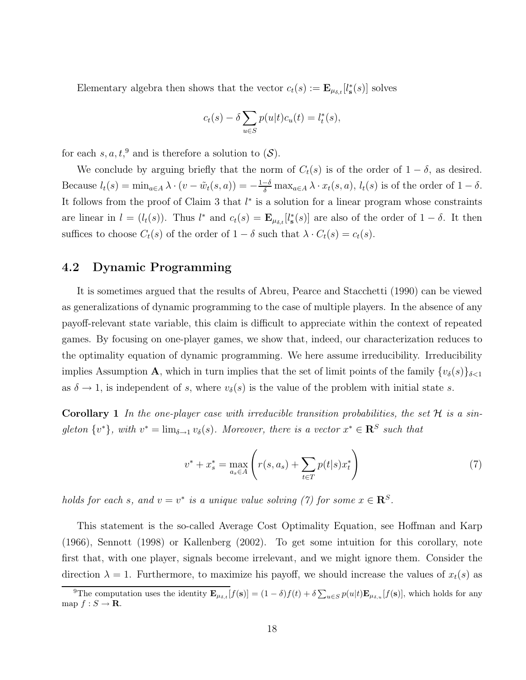Elementary algebra then shows that the vector  $c_t(s) := \mathbf{E}_{\mu_{\delta,t}}[l^*_s(s)]$  solves

$$
c_t(s) - \delta \sum_{u \in S} p(u|t)c_u(t) = l_t^*(s),
$$

for each  $s, a, t$ ,<sup>9</sup> and is therefore a solution to  $(S)$ .

We conclude by arguing briefly that the norm of  $C_t(s)$  is of the order of  $1 - \delta$ , as desired. Because  $l_t(s) = \min_{a \in A} \lambda \cdot (v - \tilde{w}_t(s, a)) = -\frac{1-\delta}{\delta} \max_{a \in A} \lambda \cdot x_t(s, a), l_t(s)$  is of the order of  $1 - \delta$ . It follows from the proof of Claim 3 that  $l^*$  is a solution for a linear program whose constraints are linear in  $l = (l_t(s))$ . Thus  $l^*$  and  $c_t(s) = \mathbf{E}_{\mu_{\delta,t}}[l^*_s(s)]$  are also of the order of  $1 - \delta$ . It then suffices to choose  $C_t(s)$  of the order of  $1 - \delta$  such that  $\lambda \cdot C_t(s) = c_t(s)$ .

#### 4.2 Dynamic Programming

It is sometimes argued that the results of Abreu, Pearce and Stacchetti (1990) can be viewed as generalizations of dynamic programming to the case of multiple players. In the absence of any payoff-relevant state variable, this claim is difficult to appreciate within the context of repeated games. By focusing on one-player games, we show that, indeed, our characterization reduces to the optimality equation of dynamic programming. We here assume irreducibility. Irreducibility implies Assumption A, which in turn implies that the set of limit points of the family  $\{v_\delta(s)\}_{\delta\leq 1}$ as  $\delta \to 1$ , is independent of s, where  $v_{\delta}(s)$  is the value of the problem with initial state s.

Corollary 1 In the one-player case with irreducible transition probabilities, the set  $H$  is a singleton  $\{v^*\}$ , with  $v^* = \lim_{\delta \to 1} v_\delta(s)$ . Moreover, there is a vector  $x^* \in \mathbb{R}^S$  such that

$$
v^* + x_s^* = \max_{a_s \in A} \left( r(s, a_s) + \sum_{t \in T} p(t|s) x_t^* \right)
$$
 (7)

holds for each s, and  $v = v^*$  is a unique value solving (7) for some  $x \in \mathbb{R}^S$ .

This statement is the so-called Average Cost Optimality Equation, see Hoffman and Karp (1966), Sennott (1998) or Kallenberg (2002). To get some intuition for this corollary, note first that, with one player, signals become irrelevant, and we might ignore them. Consider the direction  $\lambda = 1$ . Furthermore, to maximize his payoff, we should increase the values of  $x_t(s)$  as

<sup>&</sup>lt;sup>9</sup>The computation uses the identity  $\mathbf{E}_{\mu_{\delta,t}}[f(\mathbf{s})] = (1-\delta)f(t) + \delta \sum_{u \in S} p(u|t) \mathbf{E}_{\mu_{\delta,u}}[f(\mathbf{s})]$ , which holds for any map  $f : S \to \mathbf{R}$ .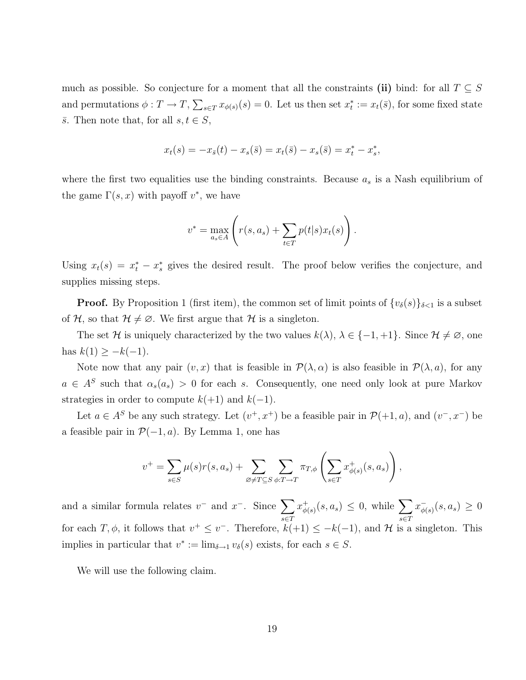much as possible. So conjecture for a moment that all the constraints (ii) bind: for all  $T \subseteq S$ and permutations  $\phi: T \to T$ ,  $\sum_{s \in T} x_{\phi(s)}(s) = 0$ . Let us then set  $x_t^* := x_t(\bar{s})$ , for some fixed state  $\bar{s}$ . Then note that, for all  $s, t \in S$ ,

$$
x_t(s) = -x_{\bar{s}}(t) - x_s(\bar{s}) = x_t(\bar{s}) - x_s(\bar{s}) = x_t^* - x_s^*,
$$

where the first two equalities use the binding constraints. Because  $a_s$  is a Nash equilibrium of the game  $\Gamma(s, x)$  with payoff  $v^*$ , we have

$$
v^* = \max_{a_s \in A} \left( r(s, a_s) + \sum_{t \in T} p(t|s) x_t(s) \right).
$$

Using  $x_t(s) = x_t^* - x_s^*$  gives the desired result. The proof below verifies the conjecture, and supplies missing steps.

**Proof.** By Proposition 1 (first item), the common set of limit points of  $\{v_\delta(s)\}_{\delta \leq 1}$  is a subset of H, so that  $\mathcal{H} \neq \emptyset$ . We first argue that H is a singleton.

The set H is uniquely characterized by the two values  $k(\lambda)$ ,  $\lambda \in \{-1, +1\}$ . Since  $\mathcal{H} \neq \emptyset$ , one has  $k(1) \geq -k(-1)$ .

Note now that any pair  $(v, x)$  that is feasible in  $\mathcal{P}(\lambda, \alpha)$  is also feasible in  $\mathcal{P}(\lambda, a)$ , for any  $a \in A^S$  such that  $\alpha_s(a_s) > 0$  for each s. Consequently, one need only look at pure Markov strategies in order to compute  $k(+1)$  and  $k(-1)$ .

Let  $a \in A^S$  be any such strategy. Let  $(v^+, x^+)$  be a feasible pair in  $\mathcal{P}(+1, a)$ , and  $(v^-, x^-)$  be a feasible pair in  $\mathcal{P}(-1, a)$ . By Lemma 1, one has

$$
v^+ = \sum_{s \in S} \mu(s) r(s, a_s) + \sum_{\varnothing \neq T \subseteq S} \sum_{\phi: T \to T} \pi_{T, \phi} \left( \sum_{s \in T} x^+_{\phi(s)}(s, a_s) \right),
$$

and a similar formula relates  $v^-$  and  $x^-$ . Since  $\sum$ s∈T  $x_{\phi}^+$  $_{\phi(s)}^+(s, a_s) \leq 0$ , while  $\sum$ s∈T  $x_{\phi}^ _{\phi(s)}^-(s, a_s) \geq 0$ for each  $T, \phi$ , it follows that  $v^+ \leq v^-$ . Therefore,  $k(+1) \leq -k(-1)$ , and H is a singleton. This implies in particular that  $v^* := \lim_{\delta \to 1} v_\delta(s)$  exists, for each  $s \in S$ .

We will use the following claim.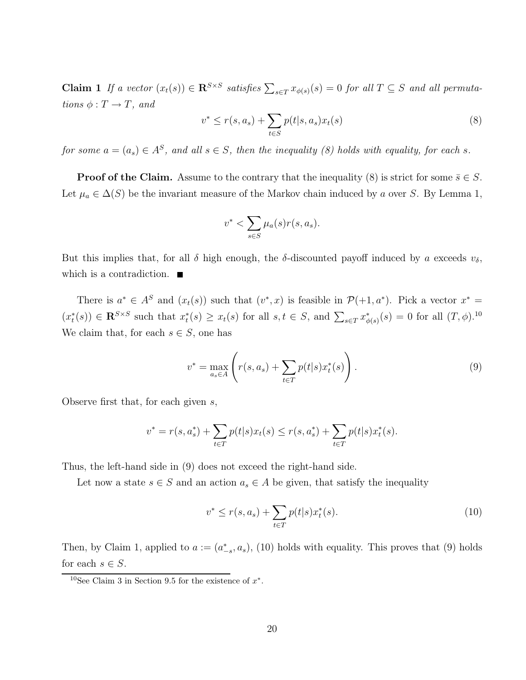**Claim 1** If a vector  $(x_t(s)) \in \mathbb{R}^{S \times S}$  satisfies  $\sum_{s \in T} x_{\phi(s)}(s) = 0$  for all  $T \subseteq S$  and all permutations  $\phi: T \to T$ , and

$$
v^* \le r(s, a_s) + \sum_{t \in S} p(t|s, a_s) x_t(s)
$$
 (8)

for some  $a = (a_s) \in A^S$ , and all  $s \in S$ , then the inequality (8) holds with equality, for each s.

**Proof of the Claim.** Assume to the contrary that the inequality (8) is strict for some  $\bar{s} \in S$ . Let  $\mu_a \in \Delta(S)$  be the invariant measure of the Markov chain induced by a over S. By Lemma 1,

$$
v^* < \sum_{s \in S} \mu_a(s) r(s, a_s).
$$

But this implies that, for all  $\delta$  high enough, the  $\delta$ -discounted payoff induced by a exceeds  $v_{\delta}$ , which is a contradiction.  $\blacksquare$ 

There is  $a^* \in A^S$  and  $(x_t(s))$  such that  $(v^*, x)$  is feasible in  $\mathcal{P}(+1, a^*)$ . Pick a vector  $x^* =$  $(x_t^*(s)) \in \mathbb{R}^{S \times S}$  such that  $x_t^*(s) \geq x_t(s)$  for all  $s, t \in S$ , and  $\sum_{s \in T} x_{\phi}^*$  $\phi(s)(s) = 0$  for all  $(T, \phi)$ .<sup>10</sup> We claim that, for each  $s \in S$ , one has

$$
v^* = \max_{a_s \in A} \left( r(s, a_s) + \sum_{t \in T} p(t|s) x_t^*(s) \right).
$$
 (9)

Observe first that, for each given s,

$$
v^* = r(s, a_s^*) + \sum_{t \in T} p(t|s)x_t(s) \le r(s, a_s^*) + \sum_{t \in T} p(t|s)x_t^*(s).
$$

Thus, the left-hand side in (9) does not exceed the right-hand side.

Let now a state  $s \in S$  and an action  $a_s \in A$  be given, that satisfy the inequality

$$
v^* \le r(s, a_s) + \sum_{t \in T} p(t|s) x_t^*(s).
$$
 (10)

Then, by Claim 1, applied to  $a := (a_{-s}^*, a_s)$ , (10) holds with equality. This proves that (9) holds for each  $s \in S$ .

<sup>&</sup>lt;sup>10</sup>See Claim 3 in Section 9.5 for the existence of  $x^*$ .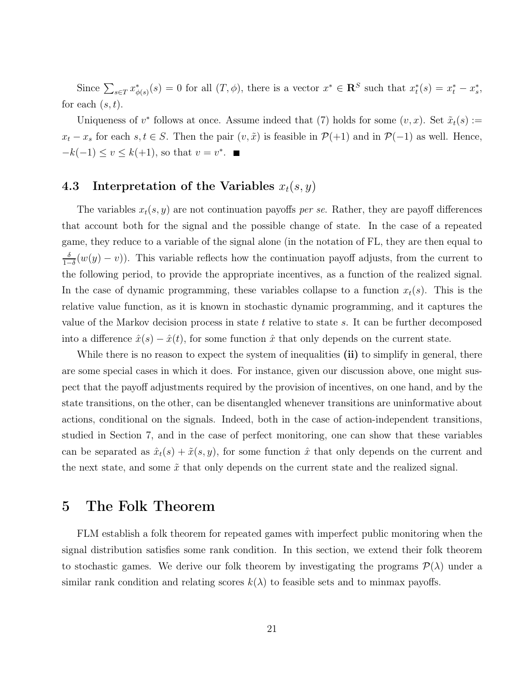Since  $\sum_{s \in T} x^*_{\phi}$  $\phi(s) = 0$  for all  $(T, \phi)$ , there is a vector  $x^* \in \mathbb{R}^S$  such that  $x_t^*(s) = x_t^* - x_s^*$ , for each  $(s, t)$ .

Uniqueness of  $v^*$  follows at once. Assume indeed that (7) holds for some  $(v, x)$ . Set  $\tilde{x}_t(s) :=$  $x_t - x_s$  for each  $s, t \in S$ . Then the pair  $(v, \tilde{x})$  is feasible in  $\mathcal{P}(+1)$  and in  $\mathcal{P}(-1)$  as well. Hence,  $-k(-1) \le v \le k(+1)$ , so that  $v = v^*$ .

#### 4.3 Interpretation of the Variables  $x_t(s, y)$

The variables  $x_t(s, y)$  are not continuation payoffs per se. Rather, they are payoff differences that account both for the signal and the possible change of state. In the case of a repeated game, they reduce to a variable of the signal alone (in the notation of FL, they are then equal to  $\delta$  $\frac{\delta}{1-\delta}(w(y)-v)$ ). This variable reflects how the continuation payoff adjusts, from the current to the following period, to provide the appropriate incentives, as a function of the realized signal. In the case of dynamic programming, these variables collapse to a function  $x_t(s)$ . This is the relative value function, as it is known in stochastic dynamic programming, and it captures the value of the Markov decision process in state  $t$  relative to state  $s$ . It can be further decomposed into a difference  $\hat{x}(s) - \hat{x}(t)$ , for some function  $\hat{x}$  that only depends on the current state.

While there is no reason to expect the system of inequalities (ii) to simplify in general, there are some special cases in which it does. For instance, given our discussion above, one might suspect that the payoff adjustments required by the provision of incentives, on one hand, and by the state transitions, on the other, can be disentangled whenever transitions are uninformative about actions, conditional on the signals. Indeed, both in the case of action-independent transitions, studied in Section 7, and in the case of perfect monitoring, one can show that these variables can be separated as  $\hat{x}_t(s) + \tilde{x}(s, y)$ , for some function  $\hat{x}$  that only depends on the current and the next state, and some  $\tilde{x}$  that only depends on the current state and the realized signal.

# 5 The Folk Theorem

FLM establish a folk theorem for repeated games with imperfect public monitoring when the signal distribution satisfies some rank condition. In this section, we extend their folk theorem to stochastic games. We derive our folk theorem by investigating the programs  $\mathcal{P}(\lambda)$  under a similar rank condition and relating scores  $k(\lambda)$  to feasible sets and to minmax payoffs.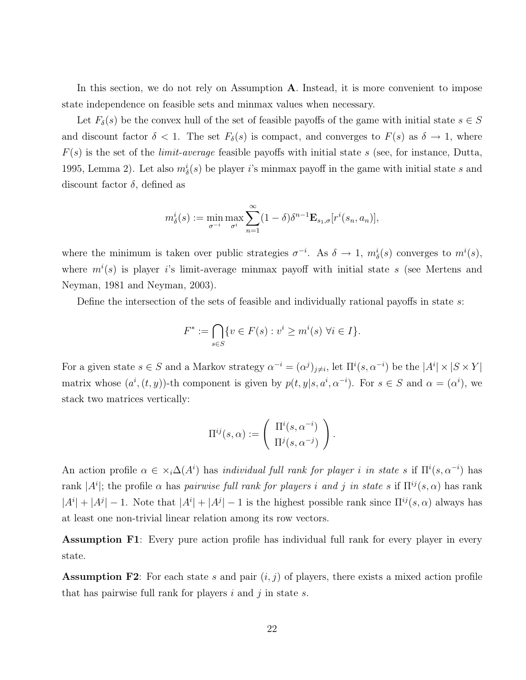In this section, we do not rely on Assumption A. Instead, it is more convenient to impose state independence on feasible sets and minmax values when necessary.

Let  $F_\delta(s)$  be the convex hull of the set of feasible payoffs of the game with initial state  $s \in S$ and discount factor  $\delta < 1$ . The set  $F_{\delta}(s)$  is compact, and converges to  $F(s)$  as  $\delta \to 1$ , where  $F(s)$  is the set of the *limit-average* feasible payoffs with initial state s (see, for instance, Dutta, 1995, Lemma 2). Let also  $m^i_{\delta}(s)$  be player *i*'s minmax payoff in the game with initial state *s* and discount factor  $\delta$ , defined as

$$
m_{\delta}^{i}(s) := \min_{\sigma^{-i}} \max_{\sigma^{i}} \sum_{n=1}^{\infty} (1-\delta) \delta^{n-1} \mathbf{E}_{s_1, \sigma}[r^{i}(s_n, a_n)],
$$

where the minimum is taken over public strategies  $\sigma^{-i}$ . As  $\delta \to 1$ ,  $m_{\delta}^{i}(s)$  converges to  $m^{i}(s)$ , where  $m^{i}(s)$  is player is limit-average minmax payoff with initial state s (see Mertens and Neyman, 1981 and Neyman, 2003).

Define the intersection of the sets of feasible and individually rational payoffs in state s:

$$
F^* := \bigcap_{s \in S} \{ v \in F(s) : v^i \ge m^i(s) \,\,\forall i \in I \}.
$$

For a given state  $s \in S$  and a Markov strategy  $\alpha^{-i} = (\alpha^j)_{j \neq i}$ , let  $\Pi^i(s, \alpha^{-i})$  be the  $|A^i| \times |S \times Y|$ matrix whose  $(a^i, (t, y))$ -th component is given by  $p(t, y | s, a^i, \alpha^{-i})$ . For  $s \in S$  and  $\alpha = (\alpha^i)$ , we stack two matrices vertically:

$$
\Pi^{ij}(s,\alpha) := \left(\begin{array}{c} \Pi^i(s,\alpha^{-i}) \\ \Pi^j(s,\alpha^{-j}) \end{array}\right).
$$

An action profile  $\alpha \in \times_i \Delta(A^i)$  has *individual full rank for player i in state s* if  $\Pi^i(s, \alpha^{-i})$  has rank  $|A^i|$ ; the profile  $\alpha$  has pairwise full rank for players i and j in state s if  $\Pi^{ij}(s,\alpha)$  has rank  $|A^i|+|A^j|-1$ . Note that  $|A^i|+|A^j|-1$  is the highest possible rank since  $\Pi^{ij}(s,\alpha)$  always has at least one non-trivial linear relation among its row vectors.

Assumption F1: Every pure action profile has individual full rank for every player in every state.

**Assumption F2**: For each state s and pair  $(i, j)$  of players, there exists a mixed action profile that has pairwise full rank for players  $i$  and  $j$  in state  $s$ .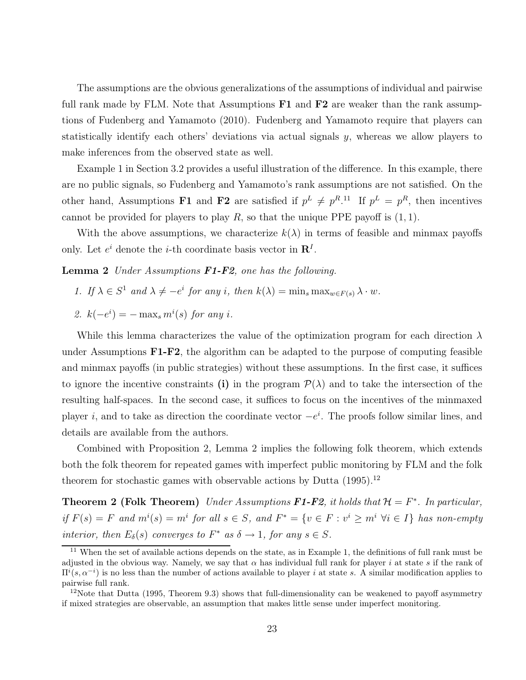The assumptions are the obvious generalizations of the assumptions of individual and pairwise full rank made by FLM. Note that Assumptions  $F1$  and  $F2$  are weaker than the rank assumptions of Fudenberg and Yamamoto (2010). Fudenberg and Yamamoto require that players can statistically identify each others' deviations via actual signals y, whereas we allow players to make inferences from the observed state as well.

Example 1 in Section 3.2 provides a useful illustration of the difference. In this example, there are no public signals, so Fudenberg and Yamamoto's rank assumptions are not satisfied. On the other hand, Assumptions F1 and F2 are satisfied if  $p^L \neq p^R$ <sup>11</sup> If  $p^L = p^R$ , then incentives cannot be provided for players to play R, so that the unique PPE payoff is  $(1, 1)$ .

With the above assumptions, we characterize  $k(\lambda)$  in terms of feasible and minmax payoffs only. Let  $e^i$  denote the *i*-th coordinate basis vector in  $\mathbb{R}^I$ .

Lemma 2 Under Assumptions F1-F2, one has the following.

- 1. If  $\lambda \in S^1$  and  $\lambda \neq -e^i$  for any i, then  $k(\lambda) = \min_s \max_{w \in F(s)} \lambda \cdot w$ .
- 2.  $k(-e^i) = -\max_s m^i(s)$  for any i.

While this lemma characterizes the value of the optimization program for each direction  $\lambda$ under Assumptions  $\mathbf{F1} - \mathbf{F2}$ , the algorithm can be adapted to the purpose of computing feasible and minmax payoffs (in public strategies) without these assumptions. In the first case, it suffices to ignore the incentive constraints (i) in the program  $\mathcal{P}(\lambda)$  and to take the intersection of the resulting half-spaces. In the second case, it suffices to focus on the incentives of the minmaxed player i, and to take as direction the coordinate vector  $-e^{i}$ . The proofs follow similar lines, and details are available from the authors.

Combined with Proposition 2, Lemma 2 implies the following folk theorem, which extends both the folk theorem for repeated games with imperfect public monitoring by FLM and the folk theorem for stochastic games with observable actions by Dutta  $(1995)^{12}$ 

**Theorem 2 (Folk Theorem)** Under Assumptions  $F1-F2$ , it holds that  $H = F^*$ . In particular, if  $F(s) = F$  and  $m^i(s) = m^i$  for all  $s \in S$ , and  $F^* = \{v \in F : v^i \ge m^i \ \forall i \in I\}$  has non-empty interior, then  $E_{\delta}(s)$  converges to  $F^*$  as  $\delta \to 1$ , for any  $s \in S$ .

<sup>&</sup>lt;sup>11</sup> When the set of available actions depends on the state, as in Example 1, the definitions of full rank must be adjusted in the obvious way. Namely, we say that  $\alpha$  has individual full rank for player i at state s if the rank of  $\Pi^{i}(s, \alpha^{-i})$  is no less than the number of actions available to player i at state s. A similar modification applies to pairwise full rank.

<sup>&</sup>lt;sup>12</sup>Note that Dutta (1995, Theorem 9.3) shows that full-dimensionality can be weakened to payoff asymmetry if mixed strategies are observable, an assumption that makes little sense under imperfect monitoring.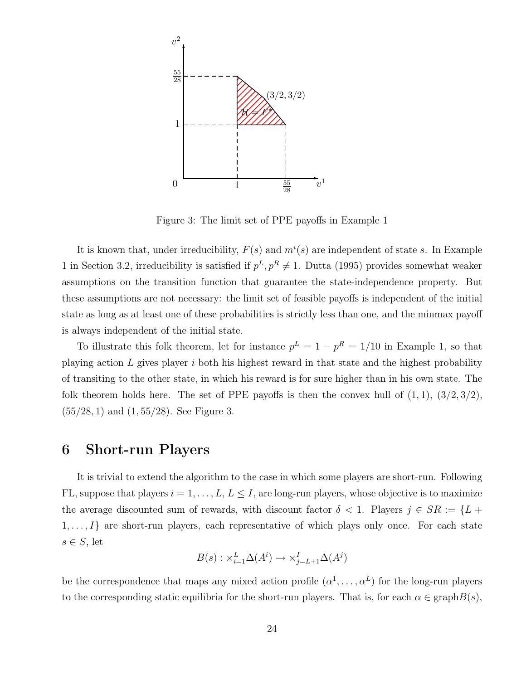

Figure 3: The limit set of PPE payoffs in Example 1

It is known that, under irreducibility,  $F(s)$  and  $m^{i}(s)$  are independent of state s. In Example 1 in Section 3.2, irreducibility is satisfied if  $p^L, p^R \neq 1$ . Dutta (1995) provides somewhat weaker assumptions on the transition function that guarantee the state-independence property. But these assumptions are not necessary: the limit set of feasible payoffs is independent of the initial state as long as at least one of these probabilities is strictly less than one, and the minmax payoff is always independent of the initial state.

To illustrate this folk theorem, let for instance  $p^L = 1 - p^R = 1/10$  in Example 1, so that playing action  $L$  gives player  $i$  both his highest reward in that state and the highest probability of transiting to the other state, in which his reward is for sure higher than in his own state. The folk theorem holds here. The set of PPE payoffs is then the convex hull of  $(1, 1)$ ,  $(3/2, 3/2)$ , (55/28, 1) and (1, 55/28). See Figure 3.

### 6 Short-run Players

It is trivial to extend the algorithm to the case in which some players are short-run. Following FL, suppose that players  $i = 1, \ldots, L, L \leq I$ , are long-run players, whose objective is to maximize the average discounted sum of rewards, with discount factor  $\delta$  < 1. Players  $j \in SR := \{L +$  $1, \ldots, I$  are short-run players, each representative of which plays only once. For each state  $s \in S$ , let

$$
B(s) : \times_{i=1}^{L} \Delta(A^i) \to \times_{j=L+1}^{I} \Delta(A^j)
$$

be the correspondence that maps any mixed action profile  $(\alpha^1, \ldots, \alpha^L)$  for the long-run players to the corresponding static equilibria for the short-run players. That is, for each  $\alpha \in \text{graph}B(s)$ ,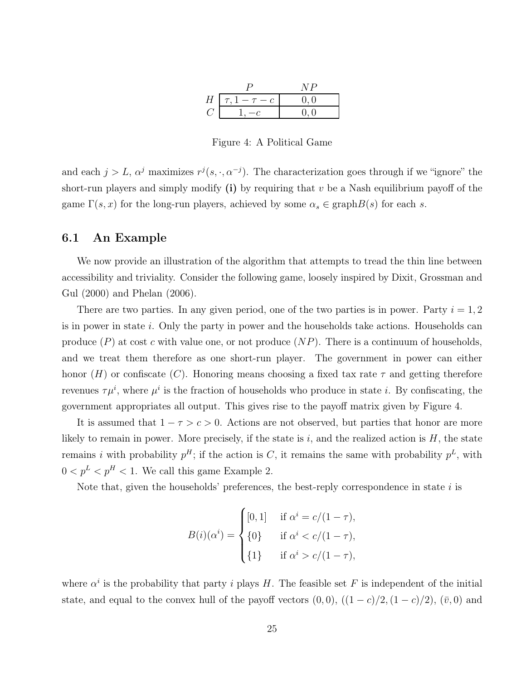|       |                           | N P          |
|-------|---------------------------|--------------|
| $H^-$ | $\tau$ , 1 – $\tau$ – $c$ | $\mathbf{0}$ |
|       |                           | $\Omega$     |

Figure 4: A Political Game

and each  $j > L$ ,  $\alpha^j$  maximizes  $r^j(s, \cdot, \alpha^{-j})$ . The characterization goes through if we "ignore" the short-run players and simply modify (i) by requiring that  $v$  be a Nash equilibrium payoff of the game  $\Gamma(s, x)$  for the long-run players, achieved by some  $\alpha_s \in \text{graph}B(s)$  for each s.

#### 6.1 An Example

We now provide an illustration of the algorithm that attempts to tread the thin line between accessibility and triviality. Consider the following game, loosely inspired by Dixit, Grossman and Gul (2000) and Phelan (2006).

There are two parties. In any given period, one of the two parties is in power. Party  $i = 1, 2$ is in power in state i. Only the party in power and the households take actions. Households can produce  $(P)$  at cost c with value one, or not produce  $(NP)$ . There is a continuum of households, and we treat them therefore as one short-run player. The government in power can either honor (H) or confiscate (C). Honoring means choosing a fixed tax rate  $\tau$  and getting therefore revenues  $\tau \mu^i$ , where  $\mu^i$  is the fraction of households who produce in state *i*. By confiscating, the government appropriates all output. This gives rise to the payoff matrix given by Figure 4.

It is assumed that  $1 - \tau > c > 0$ . Actions are not observed, but parties that honor are more likely to remain in power. More precisely, if the state is  $i$ , and the realized action is  $H$ , the state remains *i* with probability  $p<sup>H</sup>$ ; if the action is C, it remains the same with probability  $p<sup>L</sup>$ , with  $0 < p^L < p^H < 1$ . We call this game Example 2.

Note that, given the households' preferences, the best-reply correspondence in state  $i$  is

$$
B(i)(\alpha^{i}) = \begin{cases} [0,1] & \text{if } \alpha^{i} = c/(1-\tau), \\ \{0\} & \text{if } \alpha^{i} < c/(1-\tau), \\ \{1\} & \text{if } \alpha^{i} > c/(1-\tau), \end{cases}
$$

where  $\alpha^i$  is the probability that party *i* plays H. The feasible set F is independent of the initial state, and equal to the convex hull of the payoff vectors  $(0, 0)$ ,  $((1 - c)/2, (1 - c)/2)$ ,  $(\bar{v}, 0)$  and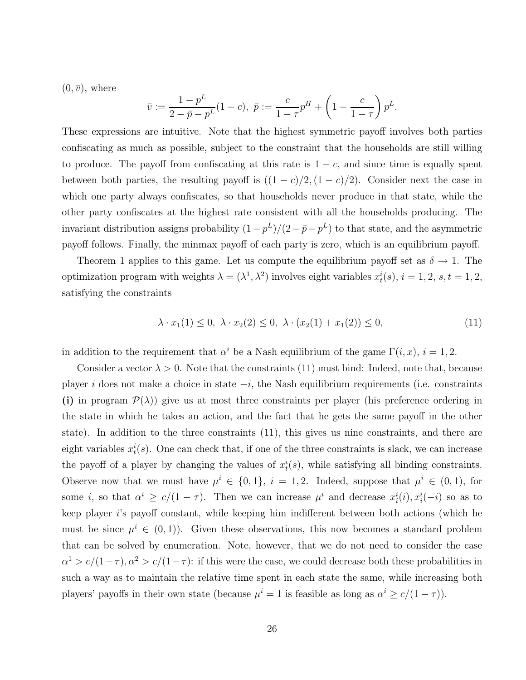$(0, \bar{v})$ , where

$$
\bar{v} := \frac{1 - p^L}{2 - \bar{p} - p^L} (1 - c), \ \bar{p} := \frac{c}{1 - \tau} p^H + \left(1 - \frac{c}{1 - \tau}\right) p^L.
$$

These expressions are intuitive. Note that the highest symmetric payoff involves both parties confiscating as much as possible, subject to the constraint that the households are still willing to produce. The payoff from confiscating at this rate is  $1 - c$ , and since time is equally spent between both parties, the resulting payoff is  $((1 - c)/2, (1 - c)/2)$ . Consider next the case in which one party always confiscates, so that households never produce in that state, while the other party confiscates at the highest rate consistent with all the households producing. The invariant distribution assigns probability  $(1-p^L)/(2-\bar{p}-p^L)$  to that state, and the asymmetric payoff follows. Finally, the minmax payoff of each party is zero, which is an equilibrium payoff.

Theorem 1 applies to this game. Let us compute the equilibrium payoff set as  $\delta \to 1$ . The optimization program with weights  $\lambda = (\lambda^1, \lambda^2)$  involves eight variables  $x_t^i(s)$ ,  $i = 1, 2, s, t = 1, 2,$ satisfying the constraints

$$
\lambda \cdot x_1(1) \le 0, \ \lambda \cdot x_2(2) \le 0, \ \lambda \cdot (x_2(1) + x_1(2)) \le 0,\tag{11}
$$

in addition to the requirement that  $\alpha^i$  be a Nash equilibrium of the game  $\Gamma(i, x)$ ,  $i = 1, 2$ .

Consider a vector  $\lambda > 0$ . Note that the constraints (11) must bind: Indeed, note that, because player i does not make a choice in state  $-i$ , the Nash equilibrium requirements (i.e. constraints (i) in program  $\mathcal{P}(\lambda)$  give us at most three constraints per player (his preference ordering in the state in which he takes an action, and the fact that he gets the same payoff in the other state). In addition to the three constraints (11), this gives us nine constraints, and there are eight variables  $x_t^i(s)$ . One can check that, if one of the three constraints is slack, we can increase the payoff of a player by changing the values of  $x_t^i(s)$ , while satisfying all binding constraints. Observe now that we must have  $\mu^i \in \{0,1\}$ ,  $i = 1,2$ . Indeed, suppose that  $\mu^i \in (0,1)$ , for some *i*, so that  $\alpha^{i} \geq c/(1-\tau)$ . Then we can increase  $\mu^{i}$  and decrease  $x_{i}^{i}(i), x_{i}^{i}(-i)$  so as to keep player i's payoff constant, while keeping him indifferent between both actions (which he must be since  $\mu^{i} \in (0,1)$ . Given these observations, this now becomes a standard problem that can be solved by enumeration. Note, however, that we do not need to consider the case  $\alpha^1 > c/(1-\tau)$ ,  $\alpha^2 > c/(1-\tau)$ : if this were the case, we could decrease both these probabilities in such a way as to maintain the relative time spent in each state the same, while increasing both players' payoffs in their own state (because  $\mu^{i} = 1$  is feasible as long as  $\alpha^{i} \ge c/(1 - \tau)$ ).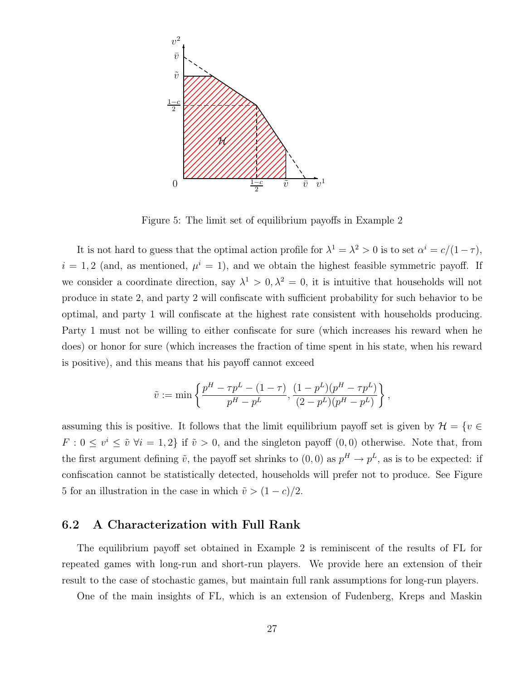

Figure 5: The limit set of equilibrium payoffs in Example 2

It is not hard to guess that the optimal action profile for  $\lambda^1 = \lambda^2 > 0$  is to set  $\alpha^i = c/(1-\tau)$ ,  $i = 1, 2$  (and, as mentioned,  $\mu^{i} = 1$ ), and we obtain the highest feasible symmetric payoff. If we consider a coordinate direction, say  $\lambda^1 > 0, \lambda^2 = 0$ , it is intuitive that households will not produce in state 2, and party 2 will confiscate with sufficient probability for such behavior to be optimal, and party 1 will confiscate at the highest rate consistent with households producing. Party 1 must not be willing to either confiscate for sure (which increases his reward when he does) or honor for sure (which increases the fraction of time spent in his state, when his reward is positive), and this means that his payoff cannot exceed

$$
\tilde{v} := \min \left\{ \frac{p^H - \tau p^L - (1 - \tau)}{p^H - p^L}, \frac{(1 - p^L)(p^H - \tau p^L)}{(2 - p^L)(p^H - p^L)} \right\},\,
$$

assuming this is positive. It follows that the limit equilibrium payoff set is given by  $\mathcal{H} = \{v \in \mathcal{H}\}$  $F: 0 \leq v^i \leq \tilde{v} \ \forall i = 1, 2$  if  $\tilde{v} > 0$ , and the singleton payoff  $(0, 0)$  otherwise. Note that, from the first argument defining  $\tilde{v}$ , the payoff set shrinks to  $(0,0)$  as  $p^H \to p^L$ , as is to be expected: if confiscation cannot be statistically detected, households will prefer not to produce. See Figure 5 for an illustration in the case in which  $\tilde{v} > (1 - c)/2$ .

#### 6.2 A Characterization with Full Rank

The equilibrium payoff set obtained in Example 2 is reminiscent of the results of FL for repeated games with long-run and short-run players. We provide here an extension of their result to the case of stochastic games, but maintain full rank assumptions for long-run players.

One of the main insights of FL, which is an extension of Fudenberg, Kreps and Maskin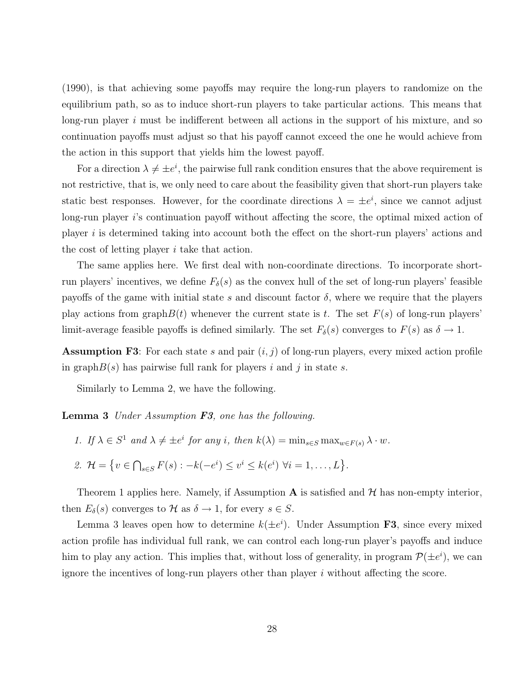(1990), is that achieving some payoffs may require the long-run players to randomize on the equilibrium path, so as to induce short-run players to take particular actions. This means that long-run player  $i$  must be indifferent between all actions in the support of his mixture, and so continuation payoffs must adjust so that his payoff cannot exceed the one he would achieve from the action in this support that yields him the lowest payoff.

For a direction  $\lambda \neq \pm e^i$ , the pairwise full rank condition ensures that the above requirement is not restrictive, that is, we only need to care about the feasibility given that short-run players take static best responses. However, for the coordinate directions  $\lambda = \pm e^i$ , since we cannot adjust long-run player i's continuation payoff without affecting the score, the optimal mixed action of player i is determined taking into account both the effect on the short-run players' actions and the cost of letting player i take that action.

The same applies here. We first deal with non-coordinate directions. To incorporate shortrun players' incentives, we define  $F_\delta(s)$  as the convex hull of the set of long-run players' feasible payoffs of the game with initial state s and discount factor  $\delta$ , where we require that the players play actions from graph $B(t)$  whenever the current state is t. The set  $F(s)$  of long-run players' limit-average feasible payoffs is defined similarly. The set  $F_\delta(s)$  converges to  $F(s)$  as  $\delta \to 1$ .

**Assumption F3**: For each state s and pair  $(i, j)$  of long-run players, every mixed action profile in graph $B(s)$  has pairwise full rank for players i and j in state s.

Similarly to Lemma 2, we have the following.

Lemma 3 Under Assumption F3, one has the following.

- 1. If  $\lambda \in S^1$  and  $\lambda \neq \pm e^i$  for any i, then  $k(\lambda) = \min_{s \in S} \max_{w \in F(s)} \lambda \cdot w$ .
- 2.  $\mathcal{H} = \{ v \in \bigcap_{s \in S} F(s) : -k(-e^i) \leq v^i \leq k(e^i) \ \forall i = 1, \dots, L \}.$

Theorem 1 applies here. Namely, if Assumption A is satisfied and  $\mathcal{H}$  has non-empty interior, then  $E_{\delta}(s)$  converges to  $\mathcal{H}$  as  $\delta \to 1$ , for every  $s \in S$ .

Lemma 3 leaves open how to determine  $k(\pm e^i)$ . Under Assumption F3, since every mixed action profile has individual full rank, we can control each long-run player's payoffs and induce him to play any action. This implies that, without loss of generality, in program  $\mathcal{P}(\pm e^i)$ , we can ignore the incentives of long-run players other than player  $i$  without affecting the score.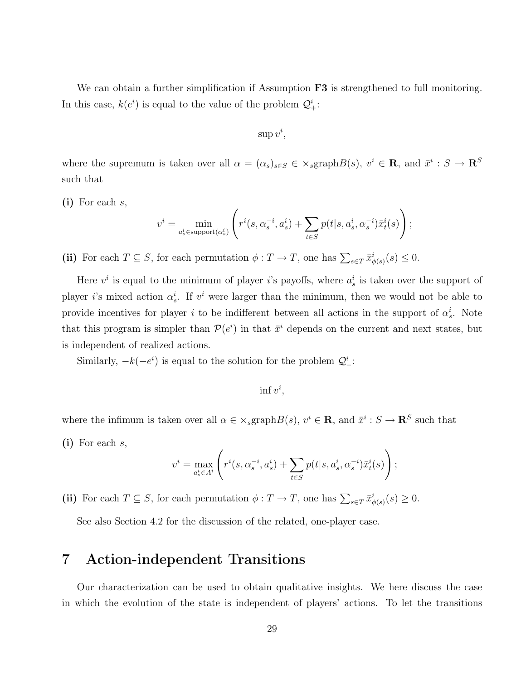We can obtain a further simplification if Assumption **F3** is strengthened to full monitoring. In this case,  $k(e^i)$  is equal to the value of the problem  $\mathcal{Q}^i_+$ :

 $\sup v^i,$ 

where the supremum is taken over all  $\alpha = (\alpha_s)_{s \in S} \in \times_s \text{graph}B(s)$ ,  $v^i \in \mathbb{R}$ , and  $\bar{x}^i : S \to \mathbb{R}^S$ such that

 $(i)$  For each s,

$$
v^{i} = \min_{a_s^{i} \in \text{support}(\alpha_s^{i})} \left( r^{i}(s, \alpha_s^{-i}, a_s^{i}) + \sum_{t \in S} p(t|s, a_s^{i}, \alpha_s^{-i}) \bar{x}_t^{i}(s) \right);
$$

(ii) For each  $T \subseteq S$ , for each permutation  $\phi : T \to T$ , one has  $\sum_{s \in T} \bar{x}^i_{\phi(s)}(s) \leq 0$ .

Here  $v^i$  is equal to the minimum of player *i*'s payoffs, where  $a_s^i$  is taken over the support of player *i*'s mixed action  $\alpha_s^i$ . If  $v^i$  were larger than the minimum, then we would not be able to provide incentives for player i to be indifferent between all actions in the support of  $\alpha_s^i$ . Note that this program is simpler than  $\mathcal{P}(e^i)$  in that  $\bar{x}^i$  depends on the current and next states, but is independent of realized actions.

Similarly,  $-k(-e^i)$  is equal to the solution for the problem  $\mathcal{Q}^i$ :

 $\inf v^i,$ 

where the infimum is taken over all  $\alpha \in \times_s \text{graph}B(s)$ ,  $v^i \in \mathbf{R}$ , and  $\bar{x}^i : S \to \mathbf{R}^S$  such that

 $(i)$  For each s,

$$
v^{i} = \max_{a_{s}^{i} \in A^{i}} \left( r^{i}(s, \alpha_{s}^{-i}, a_{s}^{i}) + \sum_{t \in S} p(t|s, a_{s}^{i}, \alpha_{s}^{-i}) \bar{x}_{t}^{i}(s) \right);
$$

(ii) For each  $T \subseteq S$ , for each permutation  $\phi : T \to T$ , one has  $\sum_{s \in T} \bar{x}^i_{\phi(s)}(s) \geq 0$ .

See also Section 4.2 for the discussion of the related, one-player case.

# 7 Action-independent Transitions

Our characterization can be used to obtain qualitative insights. We here discuss the case in which the evolution of the state is independent of players' actions. To let the transitions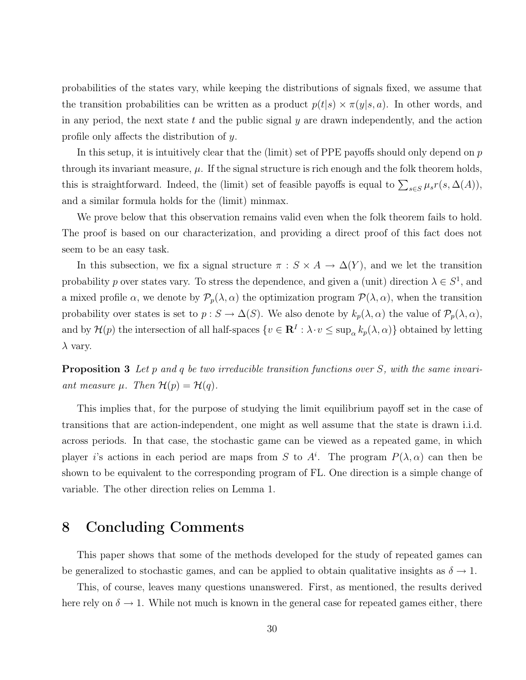probabilities of the states vary, while keeping the distributions of signals fixed, we assume that the transition probabilities can be written as a product  $p(t|s) \times \pi(y|s, a)$ . In other words, and in any period, the next state  $t$  and the public signal  $y$  are drawn independently, and the action profile only affects the distribution of y.

In this setup, it is intuitively clear that the (limit) set of PPE payoffs should only depend on  $p$ through its invariant measure,  $\mu$ . If the signal structure is rich enough and the folk theorem holds, this is straightforward. Indeed, the (limit) set of feasible payoffs is equal to  $\sum_{s\in S}\mu_s r(s,\Delta(A)),$ and a similar formula holds for the (limit) minmax.

We prove below that this observation remains valid even when the folk theorem fails to hold. The proof is based on our characterization, and providing a direct proof of this fact does not seem to be an easy task.

In this subsection, we fix a signal structure  $\pi : S \times A \to \Delta(Y)$ , and we let the transition probability p over states vary. To stress the dependence, and given a (unit) direction  $\lambda \in S^1$ , and a mixed profile  $\alpha$ , we denote by  $\mathcal{P}_p(\lambda, \alpha)$  the optimization program  $\mathcal{P}(\lambda, \alpha)$ , when the transition probability over states is set to  $p : S \to \Delta(S)$ . We also denote by  $k_p(\lambda, \alpha)$  the value of  $\mathcal{P}_p(\lambda, \alpha)$ , and by  $\mathcal{H}(p)$  the intersection of all half-spaces  $\{v \in \mathbb{R}^I : \lambda \cdot v \leq \sup_{\alpha} k_p(\lambda, \alpha)\}\)$  obtained by letting  $\lambda$  vary.

**Proposition 3** Let p and q be two irreducible transition functions over S, with the same invariant measure  $\mu$ . Then  $\mathcal{H}(p) = \mathcal{H}(q)$ .

This implies that, for the purpose of studying the limit equilibrium payoff set in the case of transitions that are action-independent, one might as well assume that the state is drawn i.i.d. across periods. In that case, the stochastic game can be viewed as a repeated game, in which player is actions in each period are maps from S to  $A^i$ . The program  $P(\lambda, \alpha)$  can then be shown to be equivalent to the corresponding program of FL. One direction is a simple change of variable. The other direction relies on Lemma 1.

# 8 Concluding Comments

This paper shows that some of the methods developed for the study of repeated games can be generalized to stochastic games, and can be applied to obtain qualitative insights as  $\delta \to 1$ .

This, of course, leaves many questions unanswered. First, as mentioned, the results derived here rely on  $\delta \to 1$ . While not much is known in the general case for repeated games either, there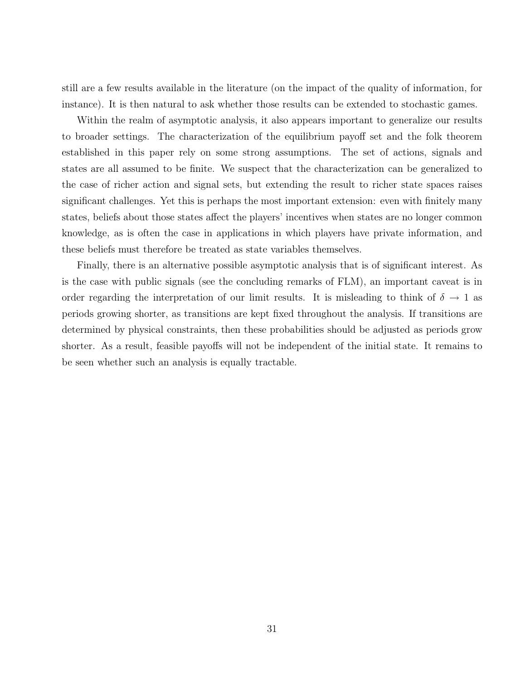still are a few results available in the literature (on the impact of the quality of information, for instance). It is then natural to ask whether those results can be extended to stochastic games.

Within the realm of asymptotic analysis, it also appears important to generalize our results to broader settings. The characterization of the equilibrium payoff set and the folk theorem established in this paper rely on some strong assumptions. The set of actions, signals and states are all assumed to be finite. We suspect that the characterization can be generalized to the case of richer action and signal sets, but extending the result to richer state spaces raises significant challenges. Yet this is perhaps the most important extension: even with finitely many states, beliefs about those states affect the players' incentives when states are no longer common knowledge, as is often the case in applications in which players have private information, and these beliefs must therefore be treated as state variables themselves.

Finally, there is an alternative possible asymptotic analysis that is of significant interest. As is the case with public signals (see the concluding remarks of FLM), an important caveat is in order regarding the interpretation of our limit results. It is misleading to think of  $\delta \to 1$  as periods growing shorter, as transitions are kept fixed throughout the analysis. If transitions are determined by physical constraints, then these probabilities should be adjusted as periods grow shorter. As a result, feasible payoffs will not be independent of the initial state. It remains to be seen whether such an analysis is equally tractable.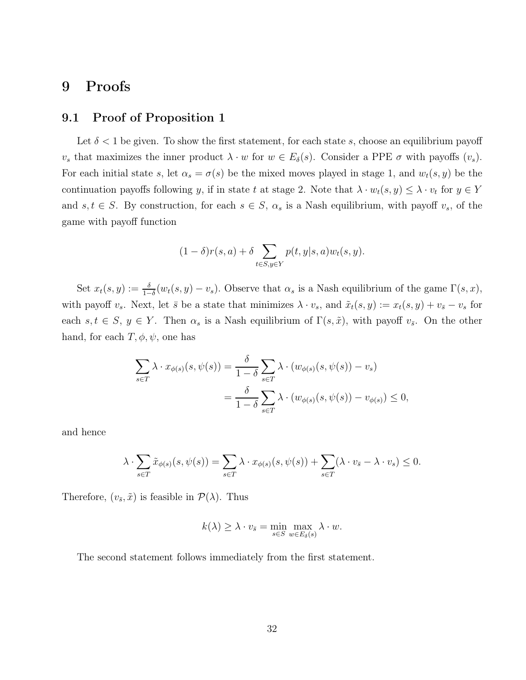# 9 Proofs

#### 9.1 Proof of Proposition 1

Let  $\delta$  < 1 be given. To show the first statement, for each state s, choose an equilibrium payoff  $v_s$  that maximizes the inner product  $\lambda \cdot w$  for  $w \in E_\delta(s)$ . Consider a PPE  $\sigma$  with payoffs  $(v_s)$ . For each initial state s, let  $\alpha_s = \sigma(s)$  be the mixed moves played in stage 1, and  $w_t(s, y)$  be the continuation payoffs following y, if in state t at stage 2. Note that  $\lambda \cdot w_t(s, y) \leq \lambda \cdot v_t$  for  $y \in Y$ and  $s, t \in S$ . By construction, for each  $s \in S$ ,  $\alpha_s$  is a Nash equilibrium, with payoff  $v_s$ , of the game with payoff function

$$
(1 - \delta)r(s, a) + \delta \sum_{t \in S, y \in Y} p(t, y|s, a)w_t(s, y).
$$

Set  $x_t(s, y) := \frac{\delta}{1-\delta}(w_t(s, y) - v_s)$ . Observe that  $\alpha_s$  is a Nash equilibrium of the game  $\Gamma(s, x)$ , with payoff  $v_s$ . Next, let  $\bar{s}$  be a state that minimizes  $\lambda \cdot v_s$ , and  $\tilde{x}_t(s, y) := x_t(s, y) + v_{\bar{s}} - v_s$  for each  $s, t \in S$ ,  $y \in Y$ . Then  $\alpha_s$  is a Nash equilibrium of  $\Gamma(s, \tilde{x})$ , with payoff  $v_{\tilde{s}}$ . On the other hand, for each  $T, \phi, \psi$ , one has

$$
\sum_{s \in T} \lambda \cdot x_{\phi(s)}(s, \psi(s)) = \frac{\delta}{1 - \delta} \sum_{s \in T} \lambda \cdot (w_{\phi(s)}(s, \psi(s)) - v_s)
$$
  
= 
$$
\frac{\delta}{1 - \delta} \sum_{s \in T} \lambda \cdot (w_{\phi(s)}(s, \psi(s)) - v_{\phi(s)}) \le 0,
$$

and hence

$$
\lambda \cdot \sum_{s \in T} \tilde{x}_{\phi(s)}(s, \psi(s)) = \sum_{s \in T} \lambda \cdot x_{\phi(s)}(s, \psi(s)) + \sum_{s \in T} (\lambda \cdot v_{\bar{s}} - \lambda \cdot v_s) \leq 0.
$$

Therefore,  $(v_{\bar{s}}, \tilde{x})$  is feasible in  $\mathcal{P}(\lambda)$ . Thus

$$
k(\lambda) \geq \lambda \cdot v_{\bar{s}} = \min_{s \in S} \max_{w \in E_{\delta}(s)} \lambda \cdot w.
$$

The second statement follows immediately from the first statement.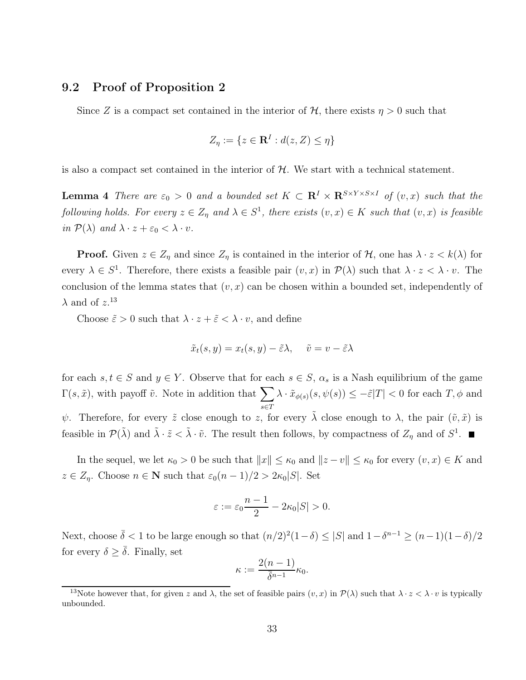### 9.2 Proof of Proposition 2

Since Z is a compact set contained in the interior of H, there exists  $\eta > 0$  such that

$$
Z_{\eta} := \{ z \in \mathbf{R}^I : d(z, Z) \le \eta \}
$$

is also a compact set contained in the interior of  $H$ . We start with a technical statement.

**Lemma 4** There are  $\varepsilon_0 > 0$  and a bounded set  $K \subset \mathbb{R}^I \times \mathbb{R}^{S \times Y \times S \times I}$  of  $(v, x)$  such that the following holds. For every  $z \in Z_{\eta}$  and  $\lambda \in S^1$ , there exists  $(v, x) \in K$  such that  $(v, x)$  is feasible in  $\mathcal{P}(\lambda)$  and  $\lambda \cdot z + \varepsilon_0 < \lambda \cdot v$ .

**Proof.** Given  $z \in Z_n$  and since  $Z_n$  is contained in the interior of  $\mathcal{H}$ , one has  $\lambda \cdot z < k(\lambda)$  for every  $\lambda \in S^1$ . Therefore, there exists a feasible pair  $(v, x)$  in  $\mathcal{P}(\lambda)$  such that  $\lambda \cdot z < \lambda \cdot v$ . The conclusion of the lemma states that  $(v, x)$  can be chosen within a bounded set, independently of  $\lambda$  and of  $z$ <sup>13</sup>

Choose  $\tilde{\varepsilon} > 0$  such that  $\lambda \cdot z + \tilde{\varepsilon} < \lambda \cdot v$ , and define

$$
\tilde{x}_t(s, y) = x_t(s, y) - \tilde{\varepsilon}\lambda, \quad \tilde{v} = v - \tilde{\varepsilon}\lambda
$$

for each  $s, t \in S$  and  $y \in Y$ . Observe that for each  $s \in S$ ,  $\alpha_s$  is a Nash equilibrium of the game  $\Gamma(s, \tilde{x})$ , with payoff  $\tilde{v}$ . Note in addition that  $\sum$ s∈T  $\lambda \cdot \tilde{x}_{\phi(s)}(s, \psi(s)) \leq -\tilde{\varepsilon}|T| < 0$  for each  $T, \phi$  and ψ. Therefore, for every  $\tilde{z}$  close enough to z, for every  $\tilde{\lambda}$  close enough to  $\lambda$ , the pair  $(\tilde{v}, \tilde{x})$  is feasible in  $\mathcal{P}(\tilde{\lambda})$  and  $\tilde{\lambda} \cdot \tilde{z} < \tilde{\lambda} \cdot \tilde{v}$ . The result then follows, by compactness of  $Z_{\eta}$  and of  $S^1$ .

In the sequel, we let  $\kappa_0 > 0$  be such that  $||x|| \leq \kappa_0$  and  $||z - v|| \leq \kappa_0$  for every  $(v, x) \in K$  and  $z \in Z_n$ . Choose  $n \in \mathbb{N}$  such that  $\varepsilon_0(n-1)/2 > 2\kappa_0|S|$ . Set

$$
\varepsilon := \varepsilon_0 \frac{n-1}{2} - 2\kappa_0 |S| > 0.
$$

Next, choose  $\bar{\delta} < 1$  to be large enough so that  $(n/2)^2(1-\delta) \leq |S|$  and  $1-\delta^{n-1} \geq (n-1)(1-\delta)/2$ for every  $\delta \geq \overline{\delta}$ . Finally, set

$$
\kappa := \frac{2(n-1)}{\bar{\delta}^{n-1}} \kappa_0.
$$

<sup>&</sup>lt;sup>13</sup>Note however that, for given z and  $\lambda$ , the set of feasible pairs  $(v, x)$  in  $\mathcal{P}(\lambda)$  such that  $\lambda \cdot z < \lambda \cdot v$  is typically unbounded.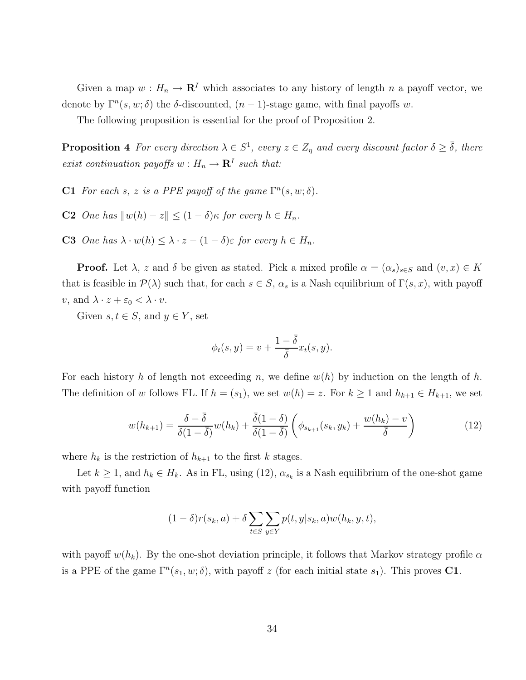Given a map  $w : H_n \to \mathbf{R}^I$  which associates to any history of length n a payoff vector, we denote by  $\Gamma^{n}(s, w; \delta)$  the  $\delta$ -discounted,  $(n-1)$ -stage game, with final payoffs w.

The following proposition is essential for the proof of Proposition 2.

**Proposition 4** For every direction  $\lambda \in S^1$ , every  $z \in Z_\eta$  and every discount factor  $\delta \geq \overline{\delta}$ , there exist continuation payoffs  $w: H_n \to \mathbf{R}^I$  such that:

- **C1** For each s, z is a PPE payoff of the game  $\Gamma^n(s, w; \delta)$ .
- C2 One has  $\|w(h) z\| \leq (1 \delta)\kappa$  for every  $h \in H_n$ .
- C3 One has  $\lambda \cdot w(h) \leq \lambda \cdot z (1 \delta) \varepsilon$  for every  $h \in H_n$ .

**Proof.** Let  $\lambda$ , z and  $\delta$  be given as stated. Pick a mixed profile  $\alpha = (\alpha_s)_{s \in S}$  and  $(v, x) \in K$ that is feasible in  $\mathcal{P}(\lambda)$  such that, for each  $s \in S$ ,  $\alpha_s$  is a Nash equilibrium of  $\Gamma(s, x)$ , with payoff v, and  $\lambda \cdot z + \varepsilon_0 < \lambda \cdot v$ .

Given  $s, t \in S$ , and  $y \in Y$ , set

$$
\phi_t(s, y) = v + \frac{1 - \overline{\delta}}{\overline{\delta}} x_t(s, y).
$$

For each history h of length not exceeding n, we define  $w(h)$  by induction on the length of h. The definition of w follows FL. If  $h = (s_1)$ , we set  $w(h) = z$ . For  $k \ge 1$  and  $h_{k+1} \in H_{k+1}$ , we set

$$
w(h_{k+1}) = \frac{\delta - \bar{\delta}}{\delta(1 - \bar{\delta})} w(h_k) + \frac{\bar{\delta}(1 - \delta)}{\delta(1 - \bar{\delta})} \left(\phi_{s_{k+1}}(s_k, y_k) + \frac{w(h_k) - v}{\bar{\delta}}\right)
$$
(12)

where  $h_k$  is the restriction of  $h_{k+1}$  to the first k stages.

Let  $k \geq 1$ , and  $h_k \in H_k$ . As in FL, using (12),  $\alpha_{s_k}$  is a Nash equilibrium of the one-shot game with payoff function

$$
(1 - \delta)r(s_k, a) + \delta \sum_{t \in S} \sum_{y \in Y} p(t, y|s_k, a) w(h_k, y, t),
$$

with payoff  $w(h_k)$ . By the one-shot deviation principle, it follows that Markov strategy profile  $\alpha$ is a PPE of the game  $\Gamma^{n}(s_1, w; \delta)$ , with payoff z (for each initial state  $s_1$ ). This proves **C1**.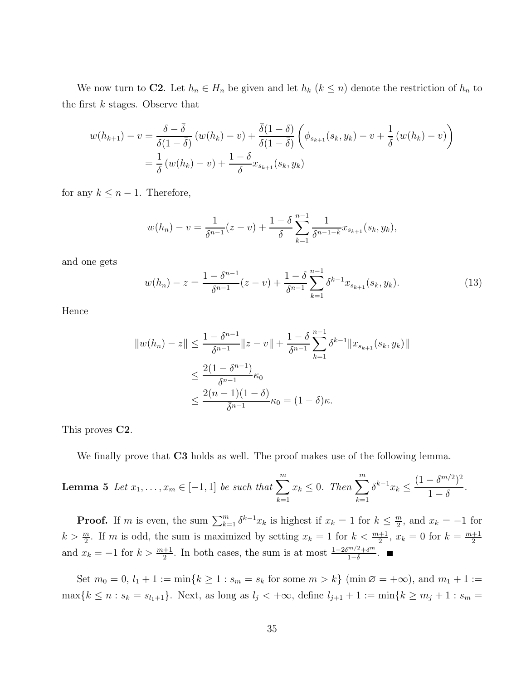We now turn to C2. Let  $h_n \in H_n$  be given and let  $h_k$  ( $k \leq n$ ) denote the restriction of  $h_n$  to the first k stages. Observe that

$$
w(h_{k+1}) - v = \frac{\delta - \bar{\delta}}{\delta(1 - \bar{\delta})} \left( w(h_k) - v \right) + \frac{\bar{\delta}(1 - \delta)}{\delta(1 - \bar{\delta})} \left( \phi_{s_{k+1}}(s_k, y_k) - v + \frac{1}{\bar{\delta}} \left( w(h_k) - v \right) \right)
$$
  
=  $\frac{1}{\delta} \left( w(h_k) - v \right) + \frac{1 - \delta}{\delta} x_{s_{k+1}}(s_k, y_k)$ 

for any  $k \leq n-1$ . Therefore,

$$
w(h_n) - v = \frac{1}{\delta^{n-1}}(z - v) + \frac{1 - \delta}{\delta} \sum_{k=1}^{n-1} \frac{1}{\delta^{n-1-k}} x_{s_{k+1}}(s_k, y_k),
$$

and one gets

$$
w(h_n) - z = \frac{1 - \delta^{n-1}}{\delta^{n-1}}(z - v) + \frac{1 - \delta}{\delta^{n-1}} \sum_{k=1}^{n-1} \delta^{k-1} x_{s_{k+1}}(s_k, y_k).
$$
 (13)

Hence

$$
||w(h_n) - z|| \le \frac{1 - \delta^{n-1}}{\delta^{n-1}} ||z - v|| + \frac{1 - \delta}{\delta^{n-1}} \sum_{k=1}^{n-1} \delta^{k-1} ||x_{s_{k+1}}(s_k, y_k)||
$$
  

$$
\le \frac{2(1 - \delta^{n-1})}{\delta^{n-1}} \kappa_0
$$
  

$$
\le \frac{2(n-1)(1 - \delta)}{\delta^{n-1}} \kappa_0 = (1 - \delta)\kappa.
$$

This proves C2.

We finally prove that C3 holds as well. The proof makes use of the following lemma.

**Lemma 5** Let 
$$
x_1, ..., x_m \in [-1, 1]
$$
 be such that  $\sum_{k=1}^m x_k \le 0$ . Then  $\sum_{k=1}^m \delta^{k-1} x_k \le \frac{(1 - \delta^{m/2})^2}{1 - \delta}$ .

**Proof.** If m is even, the sum  $\sum_{k=1}^{m} \delta^{k-1}x_k$  is highest if  $x_k = 1$  for  $k \leq \frac{m}{2}$  $\frac{m}{2}$ , and  $x_k = -1$  for  $k > \frac{m}{2}$ . If m is odd, the sum is maximized by setting  $x_k = 1$  for  $k < \frac{m+1}{2}$ ,  $x_k = 0$  for  $k = \frac{m+1}{2}$ 2 and  $x_k = -1$  for  $k > \frac{m+1}{2}$ . In both cases, the sum is at most  $\frac{1-2\delta^{m/2}+\delta^m}{1-\delta}$ .

Set  $m_0 = 0, l_1 + 1 := \min\{k \ge 1 : s_m = s_k \text{ for some } m > k\}$  ( $\min \emptyset = +\infty$ ), and  $m_1 + 1 :=$  $\max\{k \le n : s_k = s_{l_1+1}\}\$ . Next, as long as  $l_j < +\infty$ , define  $l_{j+1} + 1 := \min\{k \ge m_j + 1 : s_m = 1\}$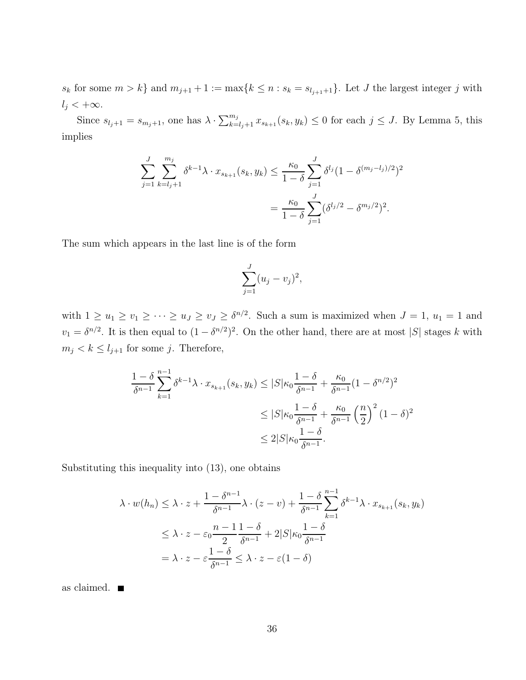$s_k$  for some  $m > k$  and  $m_{j+1} + 1 := \max\{k \leq n : s_k = s_{l_{j+1}+1}\}$ . Let J the largest integer j with  $l_j < +\infty$ .

Since  $s_{l_j+1} = s_{m_j+1}$ , one has  $\lambda \cdot \sum_{k=l_j+1}^{m_j} x_{s_{k+1}}(s_k, y_k) \leq 0$  for each  $j \leq J$ . By Lemma 5, this implies

$$
\sum_{j=1}^{J} \sum_{k=l_j+1}^{m_j} \delta^{k-1} \lambda \cdot x_{s_{k+1}}(s_k, y_k) \le \frac{\kappa_0}{1-\delta} \sum_{j=1}^{J} \delta^{l_j} (1-\delta^{(m_j-l_j)/2})^2
$$

$$
= \frac{\kappa_0}{1-\delta} \sum_{j=1}^{J} (\delta^{l_j/2} - \delta^{m_j/2})^2.
$$

The sum which appears in the last line is of the form

$$
\sum_{j=1}^{J} (u_j - v_j)^2,
$$

with  $1 \ge u_1 \ge v_1 \ge \cdots \ge u_J \ge v_J \ge \delta^{n/2}$ . Such a sum is maximized when  $J = 1$ ,  $u_1 = 1$  and  $v_1 = \delta^{n/2}$ . It is then equal to  $(1 - \delta^{n/2})^2$ . On the other hand, there are at most |S| stages k with  $m_j < k \leq l_{j+1}$  for some j. Therefore,

$$
\frac{1-\delta}{\delta^{n-1}} \sum_{k=1}^{n-1} \delta^{k-1} \lambda \cdot x_{s_{k+1}}(s_k, y_k) \le |S| \kappa_0 \frac{1-\delta}{\delta^{n-1}} + \frac{\kappa_0}{\delta^{n-1}} (1-\delta^{n/2})^2
$$
  

$$
\le |S| \kappa_0 \frac{1-\delta}{\delta^{n-1}} + \frac{\kappa_0}{\delta^{n-1}} \left(\frac{n}{2}\right)^2 (1-\delta)^2
$$
  

$$
\le 2|S| \kappa_0 \frac{1-\delta}{\delta^{n-1}}.
$$

Substituting this inequality into (13), one obtains

$$
\lambda \cdot w(h_n) \leq \lambda \cdot z + \frac{1 - \delta^{n-1}}{\delta^{n-1}} \lambda \cdot (z - v) + \frac{1 - \delta}{\delta^{n-1}} \sum_{k=1}^{n-1} \delta^{k-1} \lambda \cdot x_{s_{k+1}}(s_k, y_k)
$$
  

$$
\leq \lambda \cdot z - \varepsilon_0 \frac{n-1}{2} \frac{1 - \delta}{\delta^{n-1}} + 2|S|\kappa_0 \frac{1 - \delta}{\delta^{n-1}}
$$
  

$$
= \lambda \cdot z - \varepsilon \frac{1 - \delta}{\delta^{n-1}} \leq \lambda \cdot z - \varepsilon (1 - \delta)
$$

as claimed.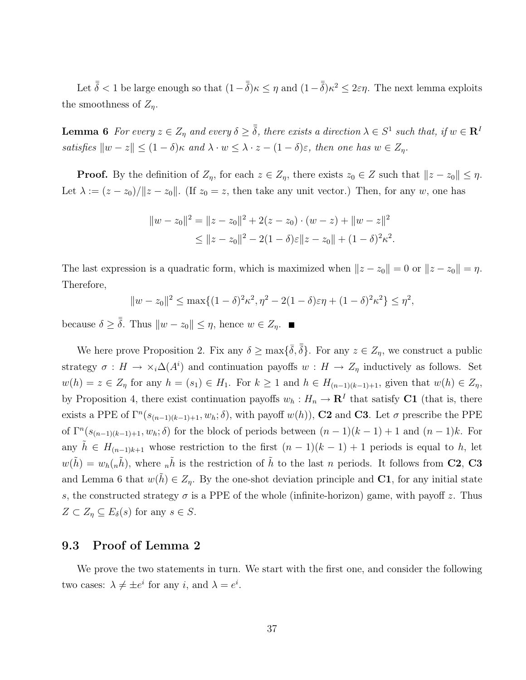Let  $\bar{\bar{\delta}}$  < 1 be large enough so that  $(1-\bar{\bar{\delta}})\kappa \leq \eta$  and  $(1-\bar{\bar{\delta}})\kappa^2 \leq 2\varepsilon\eta$ . The next lemma exploits the smoothness of  $Z_n$ .

**Lemma 6** For every  $z \in Z_\eta$  and every  $\delta \geq \overline{\delta}$ , there exists a direction  $\lambda \in S^1$  such that, if  $w \in \mathbb{R}^I$ satisfies  $\|w - z\| \leq (1 - \delta)\kappa$  and  $\lambda \cdot w \leq \lambda \cdot z - (1 - \delta)\varepsilon$ , then one has  $w \in Z_{\eta}$ .

**Proof.** By the definition of  $Z_{\eta}$ , for each  $z \in Z_{\eta}$ , there exists  $z_0 \in Z$  such that  $||z - z_0|| \leq \eta$ . Let  $\lambda := (z - z_0)/\|z - z_0\|$ . (If  $z_0 = z$ , then take any unit vector.) Then, for any w, one has

$$
||w - z_0||^2 = ||z - z_0||^2 + 2(z - z_0) \cdot (w - z) + ||w - z||^2
$$
  
\n
$$
\le ||z - z_0||^2 - 2(1 - \delta)\varepsilon ||z - z_0|| + (1 - \delta)^2 \kappa^2.
$$

The last expression is a quadratic form, which is maximized when  $||z - z_0|| = 0$  or  $||z - z_0|| = \eta$ . Therefore,

$$
||w - z_0||^2 \le \max\{(1 - \delta)^2 \kappa^2, \eta^2 - 2(1 - \delta)\varepsilon\eta + (1 - \delta)^2 \kappa^2\} \le \eta^2,
$$

because  $\delta \geq \overline{\overline{\delta}}$ . Thus  $||w - z_0|| \leq \eta$ , hence  $w \in Z_{\eta}$ .

We here prove Proposition 2. Fix any  $\delta \geq \max{\{\bar{\delta}, \bar{\bar{\delta}}\}}$ . For any  $z \in Z_{\eta}$ , we construct a public strategy  $\sigma: H \to \times_i \Delta(A^i)$  and continuation payoffs  $w: H \to Z_\eta$  inductively as follows. Set  $w(h) = z \in Z_\eta$  for any  $h = (s_1) \in H_1$ . For  $k \ge 1$  and  $h \in H_{(n-1)(k-1)+1}$ , given that  $w(h) \in Z_\eta$ , by Proposition 4, there exist continuation payoffs  $w_h: H_n \to \mathbf{R}^I$  that satisfy C1 (that is, there exists a PPE of  $\Gamma^{n}(s_{(n-1)(k-1)+1}, w_h; \delta)$ , with payoff  $w(h)$ ), **C2** and **C3**. Let  $\sigma$  prescribe the PPE of  $\Gamma^{n}(s_{(n-1)(k-1)+1}, w_h; \delta)$  for the block of periods between  $(n-1)(k-1)+1$  and  $(n-1)k$ . For any  $\tilde{h} \in H_{(n-1)k+1}$  whose restriction to the first  $(n-1)(k-1)+1$  periods is equal to h, let  $w(\tilde{h}) = w_h(n,\tilde{h})$ , where  $n\tilde{h}$  is the restriction of  $\tilde{h}$  to the last n periods. It follows from **C2**, **C3** and Lemma 6 that  $w(\tilde{h}) \in Z_{\eta}$ . By the one-shot deviation principle and C1, for any initial state s, the constructed strategy  $\sigma$  is a PPE of the whole (infinite-horizon) game, with payoff z. Thus  $Z \subset Z_{\eta} \subseteq E_{\delta}(s)$  for any  $s \in S$ .

#### 9.3 Proof of Lemma 2

We prove the two statements in turn. We start with the first one, and consider the following two cases:  $\lambda \neq \pm e^i$  for any i, and  $\lambda = e^i$ .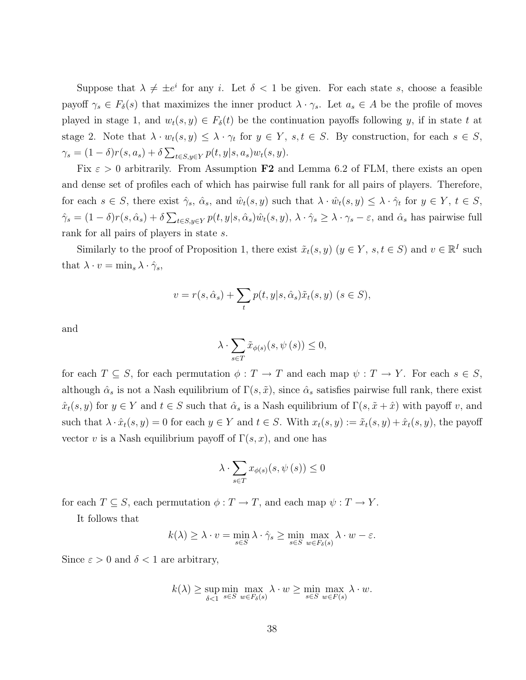Suppose that  $\lambda \neq \pm e^i$  for any i. Let  $\delta < 1$  be given. For each state s, choose a feasible payoff  $\gamma_s \in F_\delta(s)$  that maximizes the inner product  $\lambda \cdot \gamma_s$ . Let  $a_s \in A$  be the profile of moves played in stage 1, and  $w_t(s, y) \in F_\delta(t)$  be the continuation payoffs following y, if in state t at stage 2. Note that  $\lambda \cdot w_t(s, y) \leq \lambda \cdot \gamma_t$  for  $y \in Y$ ,  $s, t \in S$ . By construction, for each  $s \in S$ ,  $\gamma_s = (1 - \delta)r(s, a_s) + \delta \sum_{t \in S, y \in Y} p(t, y|s, a_s) w_t(s, y).$ 

Fix  $\varepsilon > 0$  arbitrarily. From Assumption **F2** and Lemma 6.2 of FLM, there exists an open and dense set of profiles each of which has pairwise full rank for all pairs of players. Therefore, for each  $s \in S$ , there exist  $\hat{\gamma}_s$ ,  $\hat{\alpha}_s$ , and  $\hat{w}_t(s, y)$  such that  $\lambda \cdot \hat{w}_t(s, y) \leq \lambda \cdot \hat{\gamma}_t$  for  $y \in Y$ ,  $t \in S$ ,  $\hat{\gamma}_s = (1-\delta)r(s,\hat{\alpha}_s) + \delta\sum_{t \in S, y \in Y} p(t,y|s,\hat{\alpha}_s)\hat{w}_t(s,y), \ \lambda \cdot \hat{\gamma}_s \geq \lambda \cdot \gamma_s - \varepsilon$ , and  $\hat{\alpha}_s$  has pairwise full rank for all pairs of players in state s.

Similarly to the proof of Proposition 1, there exist  $\tilde{x}_t(s, y)$   $(y \in Y, s, t \in S)$  and  $v \in \mathbb{R}^I$  such that  $\lambda \cdot v = \min_s \lambda \cdot \hat{\gamma}_s$ ,

$$
v = r(s, \hat{\alpha}_s) + \sum_t p(t, y | s, \hat{\alpha}_s) \tilde{x}_t(s, y) \ (s \in S),
$$

and

$$
\lambda \cdot \sum_{s \in T} \tilde{x}_{\phi(s)}(s, \psi(s)) \le 0,
$$

for each  $T \subseteq S$ , for each permutation  $\phi : T \to T$  and each map  $\psi : T \to Y$ . For each  $s \in S$ , although  $\hat{\alpha}_s$  is not a Nash equilibrium of  $\Gamma(s, \tilde{x})$ , since  $\hat{\alpha}_s$  satisfies pairwise full rank, there exist  $\hat{x}_t(s, y)$  for  $y \in Y$  and  $t \in S$  such that  $\hat{\alpha}_s$  is a Nash equilibrium of  $\Gamma(s, \tilde{x} + \hat{x})$  with payoff v, and such that  $\lambda \cdot \hat{x}_t(s, y) = 0$  for each  $y \in Y$  and  $t \in S$ . With  $x_t(s, y) := \tilde{x}_t(s, y) + \hat{x}_t(s, y)$ , the payoff vector v is a Nash equilibrium payoff of  $\Gamma(s, x)$ , and one has

$$
\lambda \cdot \sum_{s \in T} x_{\phi(s)}(s, \psi(s)) \le 0
$$

for each  $T \subseteq S$ , each permutation  $\phi : T \to T$ , and each map  $\psi : T \to Y$ .

It follows that

$$
k(\lambda) \geq \lambda \cdot v = \min_{s \in S} \lambda \cdot \hat{\gamma}_s \geq \min_{s \in S} \max_{w \in F_{\delta}(s)} \lambda \cdot w - \varepsilon.
$$

Since  $\varepsilon > 0$  and  $\delta < 1$  are arbitrary,

$$
k(\lambda) \ge \sup_{\delta < 1} \min_{s \in S} \max_{w \in F_{\delta}(s)} \lambda \cdot w \ge \min_{s \in S} \max_{w \in F(s)} \lambda \cdot w.
$$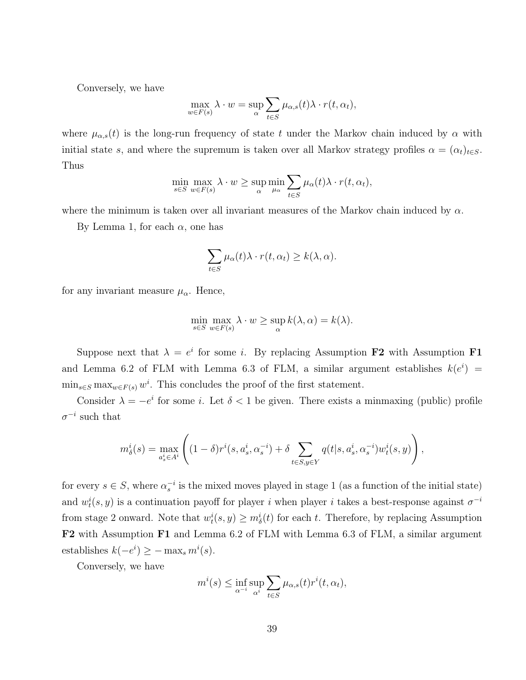Conversely, we have

$$
\max_{w \in F(s)} \lambda \cdot w = \sup_{\alpha} \sum_{t \in S} \mu_{\alpha,s}(t) \lambda \cdot r(t, \alpha_t),
$$

where  $\mu_{\alpha,s}(t)$  is the long-run frequency of state t under the Markov chain induced by  $\alpha$  with initial state s, and where the supremum is taken over all Markov strategy profiles  $\alpha = (\alpha_t)_{t \in S}$ . Thus

$$
\min_{s \in S} \max_{w \in F(s)} \lambda \cdot w \ge \sup_{\alpha} \min_{\mu_{\alpha}} \sum_{t \in S} \mu_{\alpha}(t) \lambda \cdot r(t, \alpha_t),
$$

where the minimum is taken over all invariant measures of the Markov chain induced by  $\alpha$ .

By Lemma 1, for each  $\alpha$ , one has

$$
\sum_{t \in S} \mu_{\alpha}(t) \lambda \cdot r(t, \alpha_t) \ge k(\lambda, \alpha).
$$

for any invariant measure  $\mu_{\alpha}$ . Hence,

$$
\min_{s \in S} \max_{w \in F(s)} \lambda \cdot w \ge \sup_{\alpha} k(\lambda, \alpha) = k(\lambda).
$$

Suppose next that  $\lambda = e^i$  for some *i*. By replacing Assumption F2 with Assumption F1 and Lemma 6.2 of FLM with Lemma 6.3 of FLM, a similar argument establishes  $k(e^i)$  =  $\min_{s \in S} \max_{w \in F(s)} w^i$ . This concludes the proof of the first statement.

Consider  $\lambda = -e^i$  for some i. Let  $\delta < 1$  be given. There exists a minmaxing (public) profile  $\sigma^{-i}$  such that

$$
m^i_\delta(s)=\max_{a^i_s\in A^i}\left((1-\delta)r^i(s,a^i_s,\alpha^{-i}_s)+\delta\sum_{t\in S,y\in Y}q(t|s,a^i_s,\alpha^{-i}_s)w^i_t(s,y)\right),
$$

for every  $s \in S$ , where  $\alpha_s^{-i}$  is the mixed moves played in stage 1 (as a function of the initial state) and  $w_t^i(s, y)$  is a continuation payoff for player i when player i takes a best-response against  $\sigma^{-i}$ from stage 2 onward. Note that  $w_t^i(s, y) \geq m_\delta^i(t)$  for each t. Therefore, by replacing Assumption F2 with Assumption F1 and Lemma 6.2 of FLM with Lemma 6.3 of FLM, a similar argument establishes  $k(-e^i) \ge -\max_s m^i(s)$ .

Conversely, we have

$$
m^{i}(s) \leq \inf_{\alpha^{-i}} \sup_{\alpha^{i}} \sum_{t \in S} \mu_{\alpha,s}(t) r^{i}(t, \alpha_{t}),
$$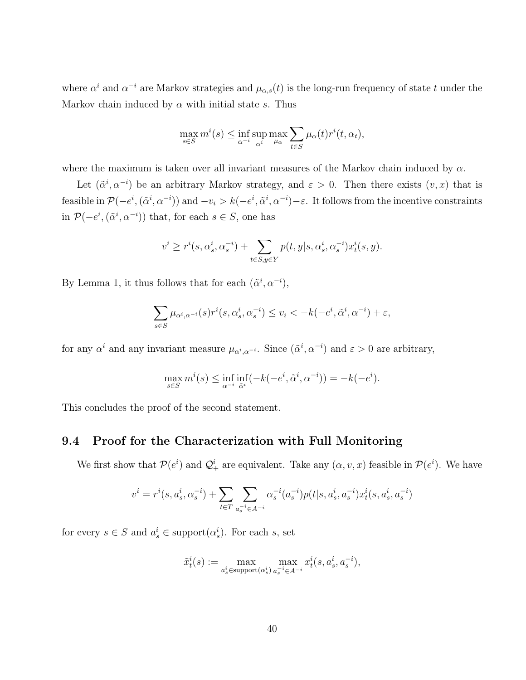where  $\alpha^i$  and  $\alpha^{-i}$  are Markov strategies and  $\mu_{\alpha,s}(t)$  is the long-run frequency of state t under the Markov chain induced by  $\alpha$  with initial state s. Thus

$$
\max_{s \in S} m^{i}(s) \le \inf_{\alpha^{-i}} \sup_{\alpha^{i}} \max_{\mu_{\alpha}} \sum_{t \in S} \mu_{\alpha}(t) r^{i}(t, \alpha_{t}),
$$

where the maximum is taken over all invariant measures of the Markov chain induced by  $\alpha$ .

Let  $(\tilde{\alpha}^i, \alpha^{-i})$  be an arbitrary Markov strategy, and  $\varepsilon > 0$ . Then there exists  $(v, x)$  that is feasible in  $\mathcal{P}(-e^i, (\tilde{\alpha}^i, \alpha^{-i}))$  and  $-v_i > k(-e^i, \tilde{\alpha}^i, \alpha^{-i})-\varepsilon$ . It follows from the incentive constraints in  $\mathcal{P}(-e^i, (\tilde{\alpha}^i, \alpha^{-i}))$  that, for each  $s \in S$ , one has

$$
v^{i} \ge r^{i}(s, \alpha_s^{i}, \alpha_s^{-i}) + \sum_{t \in S, y \in Y} p(t, y | s, \alpha_s^{i}, \alpha_s^{-i}) x_t^{i}(s, y).
$$

By Lemma 1, it thus follows that for each  $(\tilde{\alpha}^i, \alpha^{-i}),$ 

$$
\sum_{s\in S}\mu_{\alpha^i,\alpha^{-i}}(s)r^i(s,\alpha^i_s,\alpha^{-i}_s)\leq v_i<-k(-e^i,\tilde{\alpha}^i,\alpha^{-i})+\varepsilon,
$$

for any  $\alpha^i$  and any invariant measure  $\mu_{\alpha^i,\alpha^{-i}}$ . Since  $(\tilde{\alpha}^i,\alpha^{-i})$  and  $\varepsilon > 0$  are arbitrary,

$$
\max_{s \in S} m^i(s) \le \inf_{\alpha^{-i}} \inf_{\tilde{\alpha}^i} (-k(-e^i, \tilde{\alpha}^i, \alpha^{-i})) = -k(-e^i).
$$

This concludes the proof of the second statement.

#### 9.4 Proof for the Characterization with Full Monitoring

We first show that  $\mathcal{P}(e^i)$  and  $\mathcal{Q}^i_+$  are equivalent. Take any  $(\alpha, v, x)$  feasible in  $\mathcal{P}(e^i)$ . We have

$$
v^{i} = r^{i}(s, a_{s}^{i}, \alpha_{s}^{-i}) + \sum_{t \in T} \sum_{a_{s}^{-i} \in A^{-i}} \alpha_{s}^{-i}(a_{s}^{-i}) p(t|s, a_{s}^{i}, a_{s}^{-i}) x_{t}^{i}(s, a_{s}^{i}, a_{s}^{-i})
$$

for every  $s \in S$  and  $a_s^i \in \text{support}(\alpha_s^i)$ . For each s, set

$$
\tilde{x}_t^i(s) := \max_{a_s^i \in \text{support}(\alpha_s^i)} \max_{a_s^{-i} \in A^{-i}} x_t^i(s, a_s^i, a_s^{-i}),
$$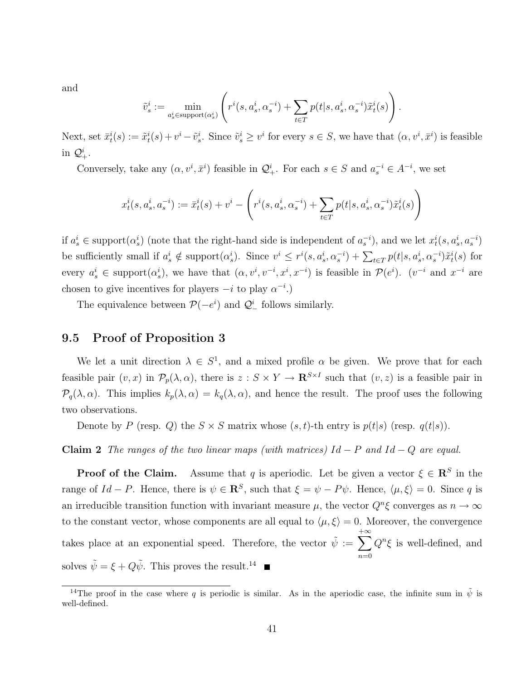and

$$
\tilde{v}_s^i := \min_{a_s^i \in \text{support}(\alpha_s^i)} \left( r^i(s, a_s^i, \alpha_s^{-i}) + \sum_{t \in T} p(t|s, a_s^i, \alpha_s^{-i}) \tilde{x}_t^i(s) \right).
$$

Next, set  $\bar{x}_t^i(s) := \tilde{x}_t^i(s) + v^i - \tilde{v}_s^i$ . Since  $\tilde{v}_s^i \geq v^i$  for every  $s \in S$ , we have that  $(\alpha, v^i, \bar{x}^i)$  is feasible in  $\mathcal{Q}^i_+$ .

Conversely, take any  $(\alpha, v^i, \bar{x}^i)$  feasible in  $\mathcal{Q}_+^i$ . For each  $s \in S$  and  $a_s^{-i} \in A^{-i}$ , we set

$$
x_t^i(s, a_s^i, a_s^{-i}) := \bar{x}_t^i(s) + v^i - \left( r^i(s, a_s^i, \alpha_s^{-i}) + \sum_{t \in T} p(t|s, a_s^i, \alpha_s^{-i}) \tilde{x}_t^i(s) \right)
$$

if  $a_s^i \in \text{support}(\alpha_s^i)$  (note that the right-hand side is independent of  $a_s^{-i}$ ), and we let  $x_t^i(s, a_s^i, a_s^{-i})$ be sufficiently small if  $a_s^i \notin \text{support}(\alpha_s^i)$ . Since  $v^i \leq r^i(s, a_s^i, \alpha_s^{-i}) + \sum_{t \in T} p(t|s, a_s^i, \alpha_s^{-i}) \tilde{x}_t^i(s)$  for every  $a_s^i \in \text{support}(\alpha_s^i)$ , we have that  $(\alpha, v^i, v^{-i}, x^i, x^{-i})$  is feasible in  $\mathcal{P}(e^i)$ .  $(v^{-i}$  and  $x^{-i}$  are chosen to give incentives for players  $-i$  to play  $\alpha^{-i}$ .)

The equivalence between  $\mathcal{P}(-e^i)$  and  $\mathcal{Q}^i$  follows similarly.

#### 9.5 Proof of Proposition 3

We let a unit direction  $\lambda \in S^1$ , and a mixed profile  $\alpha$  be given. We prove that for each feasible pair  $(v, x)$  in  $\mathcal{P}_p(\lambda, \alpha)$ , there is  $z : S \times Y \to \mathbb{R}^{S \times I}$  such that  $(v, z)$  is a feasible pair in  $\mathcal{P}_q(\lambda,\alpha)$ . This implies  $k_p(\lambda,\alpha) = k_q(\lambda,\alpha)$ , and hence the result. The proof uses the following two observations.

Denote by P (resp. Q) the  $S \times S$  matrix whose  $(s, t)$ -th entry is  $p(t|s)$  (resp.  $q(t|s)$ ).

Claim 2 The ranges of the two linear maps (with matrices)  $Id - P$  and  $Id - Q$  are equal.

**Proof of the Claim.** Assume that q is aperiodic. Let be given a vector  $\xi \in \mathbb{R}^S$  in the range of  $Id - P$ . Hence, there is  $\psi \in \mathbb{R}^S$ , such that  $\xi = \psi - P\psi$ . Hence,  $\langle \mu, \xi \rangle = 0$ . Since q is an irreducible transition function with invariant measure  $\mu$ , the vector  $Q^n\xi$  converges as  $n \to \infty$ to the constant vector, whose components are all equal to  $\langle \mu, \xi \rangle = 0$ . Moreover, the convergence takes place at an exponential speed. Therefore, the vector  $\tilde{\psi} := \sum$  $+\infty$  $n=0$  $Q^n\xi$  is well-defined, and solves  $\tilde{\psi} = \xi + Q\tilde{\psi}$ . This proves the result.<sup>14</sup>

<sup>&</sup>lt;sup>14</sup>The proof in the case where q is periodic is similar. As in the aperiodic case, the infinite sum in  $\tilde{\psi}$  is well-defined.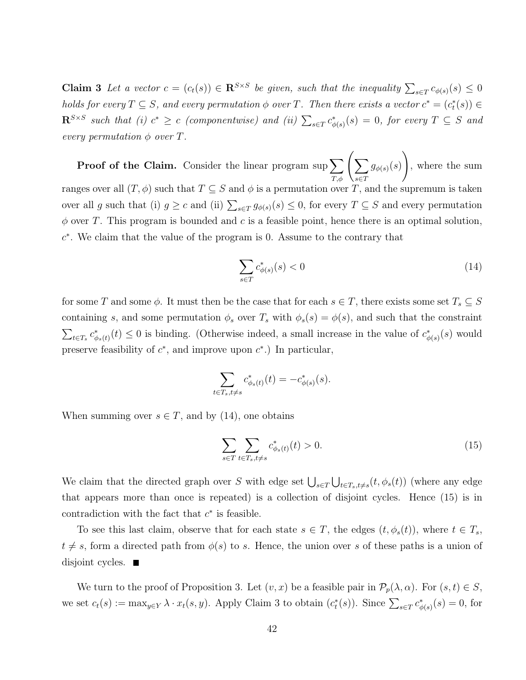**Claim 3** Let a vector  $c = (c_t(s)) \in \mathbb{R}^{S \times S}$  be given, such that the inequality  $\sum_{s \in T} c_{\phi(s)}(s) \leq 0$ holds for every  $T \subseteq S$ , and every permutation  $\phi$  over T. Then there exists a vector  $c^* = (c_t^*(s)) \in$  $\mathbf{R}^{S\times S}$  such that (i)  $c^*\geq c$  (componentwise) and (ii)  $\sum_{s\in T}c^*_\phi$  $\phi_{\phi(s)}^*(s) = 0$ , for every  $T \subseteq S$  and every permutation  $\phi$  over T.

**Proof of the Claim.** Consider the linear program sup  $\sum$  $\sum_{T,\phi}\left(\sum_{s\in T}\right)$  $g_{\phi(s)}(s)$  $\setminus$ , where the sum ranges over all  $(T, \phi)$  such that  $T \subseteq S$  and  $\phi$  is a permutation over T, and the supremum is taken over all g such that (i)  $g \ge c$  and (ii)  $\sum_{s \in T} g_{\phi(s)}(s) \le 0$ , for every  $T \subseteq S$  and every permutation  $\phi$  over T. This program is bounded and c is a feasible point, hence there is an optimal solution,  $c^*$ . We claim that the value of the program is 0. Assume to the contrary that

$$
\sum_{s \in T} c^*_{\phi(s)}(s) < 0 \tag{14}
$$

for some T and some  $\phi$ . It must then be the case that for each  $s \in T$ , there exists some set  $T_s \subseteq S$ containing s, and some permutation  $\phi_s$  over  $T_s$  with  $\phi_s(s) = \phi(s)$ , and such that the constraint  $\sum_{t\in T_s} c^*_\phi$  $\psi_{\phi_s(t)}(t) \leq 0$  is binding. (Otherwise indeed, a small increase in the value of  $c^*_{\phi_s(t)}$  $\phi(s)(s)$  would preserve feasibility of  $c^*$ , and improve upon  $c^*$ .) In particular,

$$
\sum_{t \in T_s, t \neq s} c^*_{\phi_s(t)}(t) = -c^*_{\phi(s)}(s).
$$

When summing over  $s \in T$ , and by (14), one obtains

$$
\sum_{s \in T} \sum_{t \in T_s, t \neq s} c^*_{\phi_s(t)}(t) > 0. \tag{15}
$$

We claim that the directed graph over S with edge set  $\bigcup_{s\in T}\bigcup_{t\in T_s,t\neq s}(t,\phi_s(t))$  (where any edge that appears more than once is repeated) is a collection of disjoint cycles. Hence (15) is in contradiction with the fact that  $c^*$  is feasible.

To see this last claim, observe that for each state  $s \in T$ , the edges  $(t, \phi_s(t))$ , where  $t \in T_s$ ,  $t \neq s$ , form a directed path from  $\phi(s)$  to s. Hence, the union over s of these paths is a union of disjoint cycles.  $\blacksquare$ 

We turn to the proof of Proposition 3. Let  $(v, x)$  be a feasible pair in  $\mathcal{P}_p(\lambda, \alpha)$ . For  $(s, t) \in S$ , we set  $c_t(s) := \max_{y \in Y} \lambda \cdot x_t(s, y)$ . Apply Claim 3 to obtain  $(c_t^*(s))$ . Since  $\sum_{s \in T} c_{\phi}^*$  $_{\phi(s)}^*(s) = 0$ , for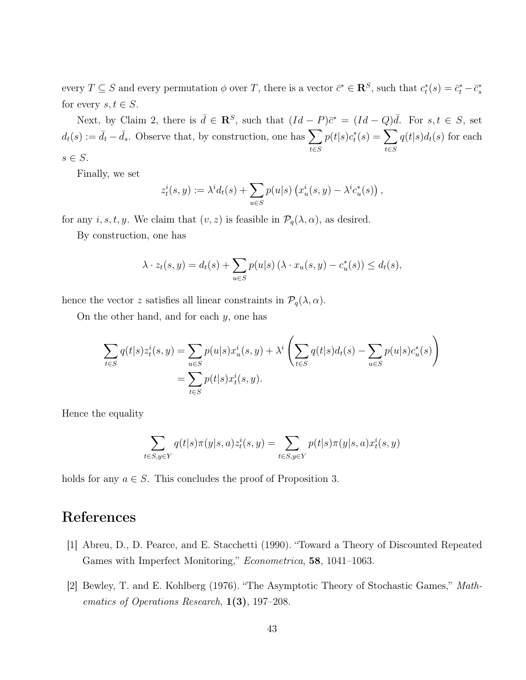every  $T \subseteq S$  and every permutation  $\phi$  over T, there is a vector  $\bar{c}^* \in \mathbb{R}^S$ , such that  $c_t^*(s) = \bar{c}_t^* - \bar{c}_s^*$ for every  $s, t \in S$ .

Next, by Claim 2, there is  $\bar{d} \in \mathbb{R}^S$ , such that  $(Id - P)\bar{c}^* = (Id - Q)\bar{d}$ . For  $s, t \in S$ , set  $d_t(s) := \bar{d}_t - \bar{d}_s$ . Observe that, by construction, one has  $\sum$  $_{t \in S}$  $p(t|s)c_t^*$  $\boldsymbol{f}_t^*(s) = \sum$ t∈S  $q(t|s)d_t(s)$  for each  $s \in S$ .

Finally, we set

$$
z_t^i(s, y) := \lambda^i d_t(s) + \sum_{u \in S} p(u|s) (x_u^i(s, y) - \lambda^i c_u^*(s)),
$$

for any  $i, s, t, y$ . We claim that  $(v, z)$  is feasible in  $\mathcal{P}_q(\lambda, \alpha)$ , as desired.

By construction, one has

$$
\lambda \cdot z_t(s, y) = d_t(s) + \sum_{u \in S} p(u|s) \left(\lambda \cdot x_u(s, y) - c_u^*(s)\right) \le d_t(s),
$$

hence the vector z satisfies all linear constraints in  $\mathcal{P}_q(\lambda, \alpha)$ .

On the other hand, and for each  $y$ , one has

$$
\sum_{t \in S} q(t|s) z_t^i(s, y) = \sum_{u \in S} p(u|s) x_u^i(s, y) + \lambda^i \left( \sum_{t \in S} q(t|s) d_t(s) - \sum_{u \in S} p(u|s) c_u^*(s) \right)
$$
  
= 
$$
\sum_{t \in S} p(t|s) x_t^i(s, y).
$$

Hence the equality

$$
\sum_{t \in S, y \in Y} q(t|s) \pi(y|s, a) z_t^i(s, y) = \sum_{t \in S, y \in Y} p(t|s) \pi(y|s, a) x_t^i(s, y)
$$

holds for any  $a \in S$ . This concludes the proof of Proposition 3.

# References

- [1] Abreu, D., D. Pearce, and E. Stacchetti (1990). "Toward a Theory of Discounted Repeated Games with Imperfect Monitoring," Econometrica, 58, 1041–1063.
- [2] Bewley, T. and E. Kohlberg (1976). "The Asymptotic Theory of Stochastic Games," Mathematics of Operations Research, 1(3), 197–208.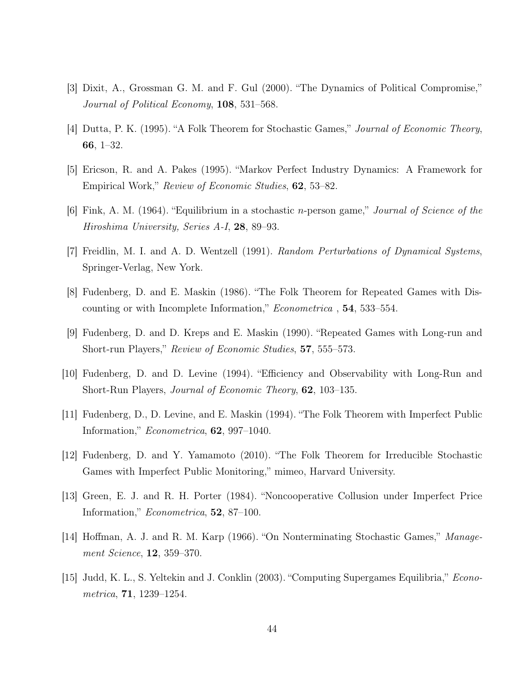- [3] Dixit, A., Grossman G. M. and F. Gul (2000). "The Dynamics of Political Compromise," Journal of Political Economy, 108, 531–568.
- [4] Dutta, P. K. (1995). "A Folk Theorem for Stochastic Games," Journal of Economic Theory, 66, 1–32.
- [5] Ericson, R. and A. Pakes (1995). "Markov Perfect Industry Dynamics: A Framework for Empirical Work," Review of Economic Studies, 62, 53–82.
- [6] Fink, A. M. (1964). "Equilibrium in a stochastic *n*-person game," *Journal of Science of the* Hiroshima University, Series A-I, 28, 89–93.
- [7] Freidlin, M. I. and A. D. Wentzell (1991). Random Perturbations of Dynamical Systems, Springer-Verlag, New York.
- [8] Fudenberg, D. and E. Maskin (1986). "The Folk Theorem for Repeated Games with Discounting or with Incomplete Information," *Econometrica*, 54, 533–554.
- [9] Fudenberg, D. and D. Kreps and E. Maskin (1990). "Repeated Games with Long-run and Short-run Players," Review of Economic Studies, 57, 555–573.
- [10] Fudenberg, D. and D. Levine (1994). "Efficiency and Observability with Long-Run and Short-Run Players, *Journal of Economic Theory*, **62**, 103–135.
- [11] Fudenberg, D., D. Levine, and E. Maskin (1994). "The Folk Theorem with Imperfect Public Information," Econometrica, 62, 997–1040.
- [12] Fudenberg, D. and Y. Yamamoto (2010). "The Folk Theorem for Irreducible Stochastic Games with Imperfect Public Monitoring," mimeo, Harvard University.
- [13] Green, E. J. and R. H. Porter (1984). "Noncooperative Collusion under Imperfect Price Information," Econometrica, 52, 87–100.
- [14] Hoffman, A. J. and R. M. Karp (1966). "On Nonterminating Stochastic Games," Management Science, **12**, 359–370.
- [15] Judd, K. L., S. Yeltekin and J. Conklin (2003). "Computing Supergames Equilibria," Econometrica, 71, 1239–1254.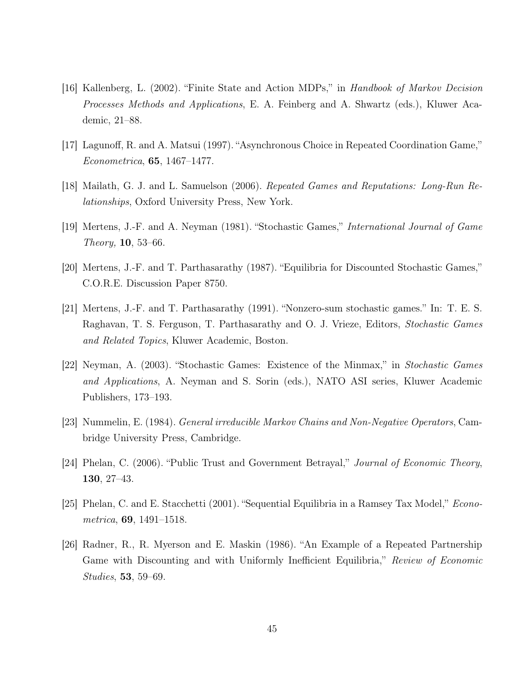- [16] Kallenberg, L. (2002). "Finite State and Action MDPs," in Handbook of Markov Decision Processes Methods and Applications, E. A. Feinberg and A. Shwartz (eds.), Kluwer Academic, 21–88.
- [17] Lagunoff, R. and A. Matsui (1997). "Asynchronous Choice in Repeated Coordination Game," Econometrica, 65, 1467–1477.
- [18] Mailath, G. J. and L. Samuelson (2006). Repeated Games and Reputations: Long-Run Relationships, Oxford University Press, New York.
- [19] Mertens, J.-F. and A. Neyman (1981). "Stochastic Games," International Journal of Game *Theory*, **10**, 53–66.
- [20] Mertens, J.-F. and T. Parthasarathy (1987). "Equilibria for Discounted Stochastic Games," C.O.R.E. Discussion Paper 8750.
- [21] Mertens, J.-F. and T. Parthasarathy (1991). "Nonzero-sum stochastic games." In: T. E. S. Raghavan, T. S. Ferguson, T. Parthasarathy and O. J. Vrieze, Editors, Stochastic Games and Related Topics, Kluwer Academic, Boston.
- [22] Neyman, A. (2003). "Stochastic Games: Existence of the Minmax," in Stochastic Games and Applications, A. Neyman and S. Sorin (eds.), NATO ASI series, Kluwer Academic Publishers, 173–193.
- [23] Nummelin, E. (1984). General irreducible Markov Chains and Non-Negative Operators, Cambridge University Press, Cambridge.
- [24] Phelan, C. (2006). "Public Trust and Government Betrayal," Journal of Economic Theory, 130, 27–43.
- [25] Phelan, C. and E. Stacchetti (2001). "Sequential Equilibria in a Ramsey Tax Model," Econometrica, 69, 1491–1518.
- [26] Radner, R., R. Myerson and E. Maskin (1986). "An Example of a Repeated Partnership Game with Discounting and with Uniformly Inefficient Equilibria," Review of Economic Studies, 53, 59–69.